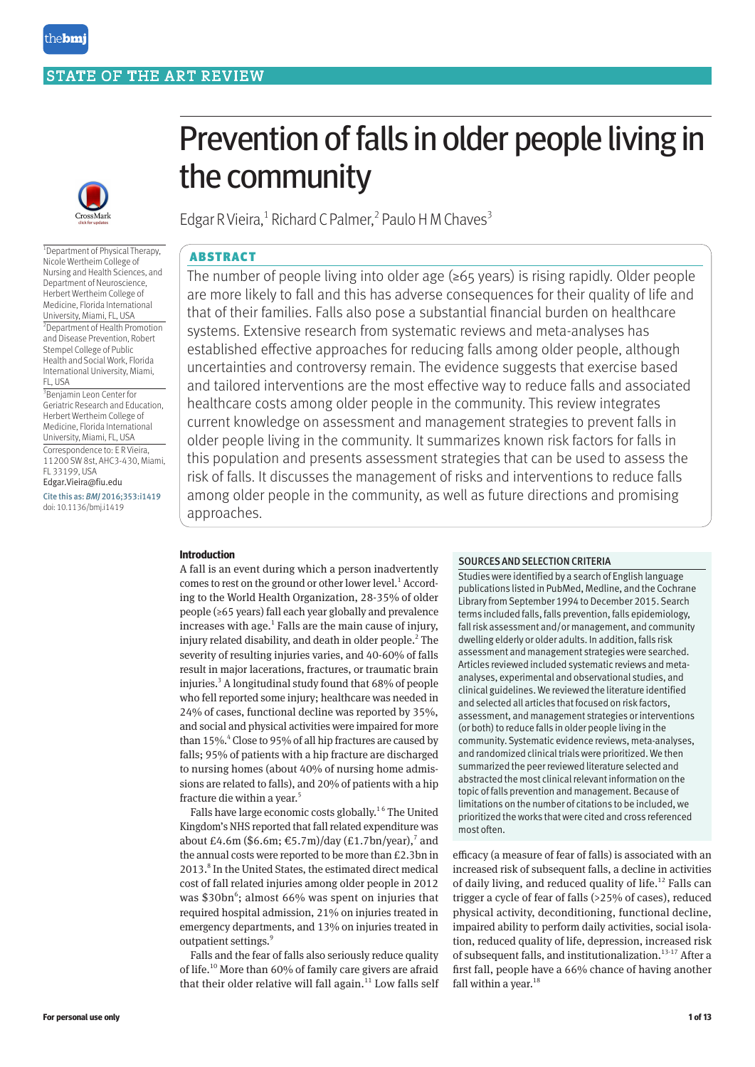# STATE OF THE ART REVIEW



1 Department of Physical Therapy, Nicole Wertheim College of Nursing and Health Sciences, and Department of Neuroscience, Herbert Wertheim College of Medicine, Florida International University, Miami, FL, USA 2 Department of Health Promotion and Disease Prevention, Robert Stempel College of Public Health and Social Work, Florida International University, Miami, FL, USA

3 Benjamin Leon Center for Geriatric Research and Education, Herbert Wertheim College of Medicine, Florida International University, Miami, FL, USA Correspondence to: E R Vieira 11200 SW 8st, AHC3-430, Miami, FL 33199, USA Edgar.Vieira@fiu.edu

Cite this as: *BMJ* 2016;353:i1419 doi: 10.1136/bmj.i1419

# Prevention of falls in older people living in the community

Edgar R Vieira,<sup>1</sup> Richard C Palmer,<sup>2</sup> Paulo H M Chaves<sup>3</sup>

# ABSTRACT

The number of people living into older age (≥65 years) is rising rapidly. Older people are more likely to fall and this has adverse consequences for their quality of life and that of their families. Falls also pose a substantial financial burden on healthcare systems. Extensive research from systematic reviews and meta-analyses has established effective approaches for reducing falls among older people, although uncertainties and controversy remain. The evidence suggests that exercise based and tailored interventions are the most effective way to reduce falls and associated healthcare costs among older people in the community. This review integrates current knowledge on assessment and management strategies to prevent falls in older people living in the community. It summarizes known risk factors for falls in this population and presents assessment strategies that can be used to assess the risk of falls. It discusses the management of risks and interventions to reduce falls among older people in the community, as well as future directions and promising approaches.

# **Introduction**

A fall is an event during which a person inadvertently comes to rest on the ground or other lower level.<sup>1</sup> According to the World Health Organization, 28-35% of older people (≥65 years) fall each year globally and prevalence increases with age. $<sup>1</sup>$  Falls are the main cause of injury,</sup> injury related disability, and death in older people.<sup>2</sup> The severity of resulting injuries varies, and 40-60% of falls result in major lacerations, fractures, or traumatic brain injuries.<sup>3</sup> A longitudinal study found that 68% of people who fell reported some injury; healthcare was needed in 24% of cases, functional decline was reported by 35%, and social and physical activities were impaired for more than 15%.<sup>4</sup> Close to 95% of all hip fractures are caused by falls; 95% of patients with a hip fracture are discharged to nursing homes (about 40% of nursing home admissions are related to falls), and 20% of patients with a hip fracture die within a year.<sup>5</sup>

Falls have large economic costs globally.<sup>16</sup> The United Kingdom's NHS reported that fall related expenditure was about £4.6m (\$6.6m; €5.7m)/day (£1.7bn/year),<sup>7</sup> and the annual costs were reported to be more than £2.3bn in 2013.<sup>8</sup> In the United States, the estimated direct medical cost of fall related injuries among older people in 2012 was  $$30bn^6$ ; almost 66% was spent on injuries that required hospital admission, 21% on injuries treated in emergency departments, and 13% on injuries treated in outpatient settings.<sup>9</sup>

Falls and the fear of falls also seriously reduce quality of life.10 More than 60% of family care givers are afraid that their older relative will fall again.<sup>11</sup> Low falls self

# SOURCES AND SELECTION CRITERIA

Studies were identified by a search of English language publications listed in PubMed, Medline, and the Cochrane Library from September 1994 to December 2015. Search terms included falls, falls prevention, falls epidemiology, fall risk assessment and/or management, and community dwelling elderly or older adults. In addition, falls risk assessment and management strategies were searched. Articles reviewed included systematic reviews and metaanalyses, experimental and observational studies, and clinical guidelines. We reviewed the literature identified and selected all articles that focused on risk factors, assessment, and management strategies or interventions (or both) to reduce falls in older people living in the community. Systematic evidence reviews, meta-analyses, and randomized clinical trials were prioritized. We then summarized the peer reviewed literature selected and abstracted the most clinical relevant information on the topic of falls prevention and management. Because of limitations on the number of citations to be included, we prioritized the works that were cited and cross referenced most often.

efficacy (a measure of fear of falls) is associated with an increased risk of subsequent falls, a decline in activities of daily living, and reduced quality of life.<sup>12</sup> Falls can trigger a cycle of fear of falls (>25% of cases), reduced physical activity, deconditioning, functional decline, impaired ability to perform daily activities, social isolation, reduced quality of life, depression, increased risk of subsequent falls, and institutionalization.<sup>13-17</sup> After a first fall, people have a 66% chance of having another fall within a year. $18$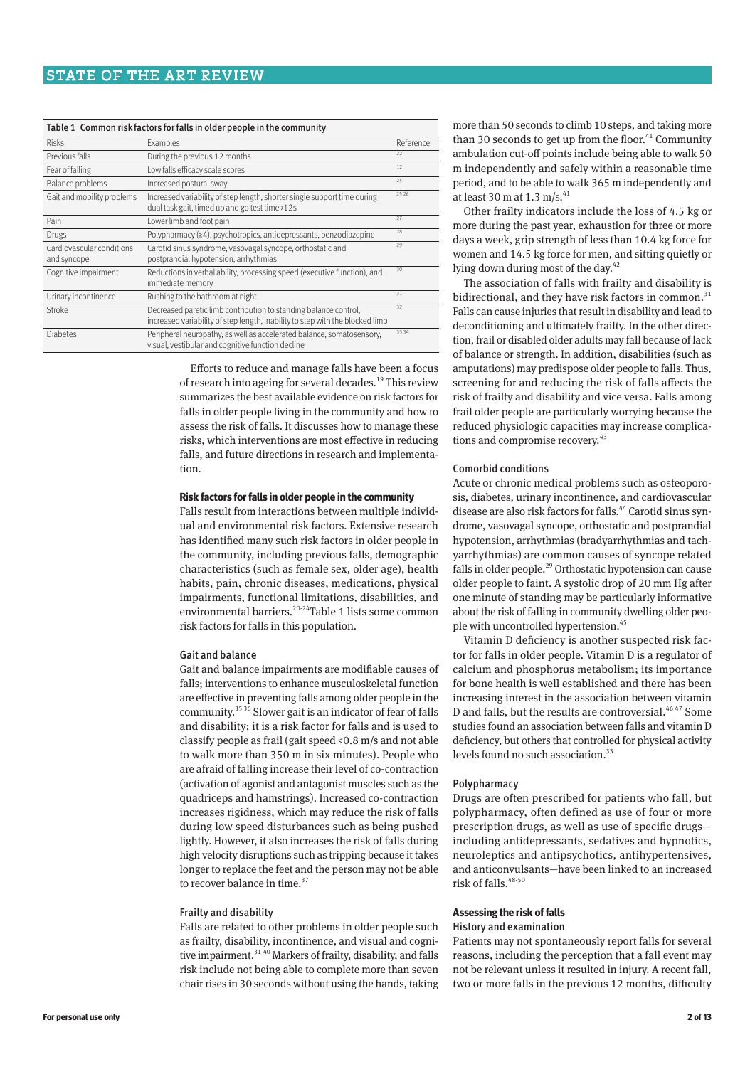| Table 1   Common risk factors for falls in older people in the community |                                                                                                                                                   |           |  |  |  |  |  |  |  |
|--------------------------------------------------------------------------|---------------------------------------------------------------------------------------------------------------------------------------------------|-----------|--|--|--|--|--|--|--|
| <b>Risks</b>                                                             | Examples                                                                                                                                          | Reference |  |  |  |  |  |  |  |
| Previous falls                                                           | During the previous 12 months                                                                                                                     | 22        |  |  |  |  |  |  |  |
| Fear of falling                                                          | Low falls efficacy scale scores                                                                                                                   | 12        |  |  |  |  |  |  |  |
| Balance problems                                                         | Increased postural sway                                                                                                                           | 25        |  |  |  |  |  |  |  |
| Gait and mobility problems                                               | Increased variability of step length, shorter single support time during<br>dual task gait, timed up and go test time >12s                        | 25 26     |  |  |  |  |  |  |  |
| Pain                                                                     | Lower limb and foot pain                                                                                                                          | 27        |  |  |  |  |  |  |  |
| Drugs                                                                    | Polypharmacy $(\geq 4)$ , psychotropics, antidepressants, benzodiazepine                                                                          | 28        |  |  |  |  |  |  |  |
| Cardiovascular conditions<br>and syncope                                 | Carotid sinus syndrome, vasovagal syncope, orthostatic and<br>postprandial hypotension, arrhythmias                                               | 29        |  |  |  |  |  |  |  |
| Cognitive impairment                                                     | Reductions in verbal ability, processing speed (executive function), and<br>immediate memory                                                      | 30        |  |  |  |  |  |  |  |
| Urinary incontinence                                                     | Rushing to the bathroom at night                                                                                                                  | 31        |  |  |  |  |  |  |  |
| Stroke                                                                   | Decreased paretic limb contribution to standing balance control,<br>increased variability of step length, inability to step with the blocked limb | 32        |  |  |  |  |  |  |  |
| <b>Diabetes</b>                                                          | Peripheral neuropathy, as well as accelerated balance, somatosensory,<br>visual, vestibular and cognitive function decline                        | 3334      |  |  |  |  |  |  |  |

Efforts to reduce and manage falls have been a focus of research into ageing for several decades.<sup>19</sup> This review summarizes the best available evidence on risk factors for falls in older people living in the community and how to assess the risk of falls. It discusses how to manage these risks, which interventions are most effective in reducing falls, and future directions in research and implementation.

## **Risk factors for falls in older people in the community**

Falls result from interactions between multiple individual and environmental risk factors. Extensive research has identified many such risk factors in older people in the community, including previous falls, demographic characteristics (such as female sex, older age), health habits, pain, chronic diseases, medications, physical impairments, functional limitations, disabilities, and environmental barriers.<sup>20-24</sup>Table 1 lists some common risk factors for falls in this population.

#### Gait and balance

Gait and balance impairments are modifiable causes of falls; interventions to enhance musculoskeletal function are effective in preventing falls among older people in the community.<sup>35 36</sup> Slower gait is an indicator of fear of falls and disability; it is a risk factor for falls and is used to classify people as frail (gait speed <0.8 m/s and not able to walk more than 350 m in six minutes). People who are afraid of falling increase their level of co-contraction (activation of agonist and antagonist muscles such as the quadriceps and hamstrings). Increased co-contraction increases rigidness, which may reduce the risk of falls during low speed disturbances such as being pushed lightly. However, it also increases the risk of falls during high velocity disruptions such as tripping because it takes longer to replace the feet and the person may not be able to recover balance in time.<sup>37</sup>

#### Frailty and disability

Falls are related to other problems in older people such as frailty, disability, incontinence, and visual and cognitive impairment.<sup>31-40</sup> Markers of frailty, disability, and falls risk include not being able to complete more than seven chair rises in 30 seconds without using the hands, taking more than 50 seconds to climb 10 steps, and taking more than 30 seconds to get up from the floor. $41$  Community ambulation cut-off points include being able to walk 50 m independently and safely within a reasonable time period, and to be able to walk 365 m independently and at least 30 m at 1.3 m/s. $41$ 

Other frailty indicators include the loss of 4.5 kg or more during the past year, exhaustion for three or more days a week, grip strength of less than 10.4 kg force for women and 14.5 kg force for men, and sitting quietly or lying down during most of the day.<sup>42</sup>

The association of falls with frailty and disability is bidirectional, and they have risk factors in common. $31$ Falls can cause injuries that result in disability and lead to deconditioning and ultimately frailty. In the other direction, frail or disabled older adults may fall because of lack of balance or strength. In addition, disabilities (such as amputations) may predispose older people to falls. Thus, screening for and reducing the risk of falls affects the risk of frailty and disability and vice versa. Falls among frail older people are particularly worrying because the reduced physiologic capacities may increase complications and compromise recovery.<sup>43</sup>

#### Comorbid conditions

Acute or chronic medical problems such as osteoporosis, diabetes, urinary incontinence, and cardiovascular disease are also risk factors for falls.<sup>44</sup> Carotid sinus syndrome, vasovagal syncope, orthostatic and postprandial hypotension, arrhythmias (bradyarrhythmias and tachyarrhythmias) are common causes of syncope related falls in older people.<sup>29</sup> Orthostatic hypotension can cause older people to faint. A systolic drop of 20 mm Hg after one minute of standing may be particularly informative about the risk of falling in community dwelling older people with uncontrolled hypertension.45

Vitamin D deficiency is another suspected risk factor for falls in older people. Vitamin D is a regulator of calcium and phosphorus metabolism; its importance for bone health is well established and there has been increasing interest in the association between vitamin D and falls, but the results are controversial.<sup>46 47</sup> Some studies found an association between falls and vitamin D deficiency, but others that controlled for physical activity levels found no such association.<sup>33</sup>

# Polypharmacy

Drugs are often prescribed for patients who fall, but polypharmacy, often defined as use of four or more prescription drugs, as well as use of specific drugs including antidepressants, sedatives and hypnotics, neuroleptics and antipsychotics, antihypertensives, and anticonvulsants—have been linked to an increased risk of falls.<sup>48-50</sup>

# **Assessing the risk of falls**

# History and examination

Patients may not spontaneously report falls for several reasons, including the perception that a fall event may not be relevant unless it resulted in injury. A recent fall, two or more falls in the previous 12 months, difficulty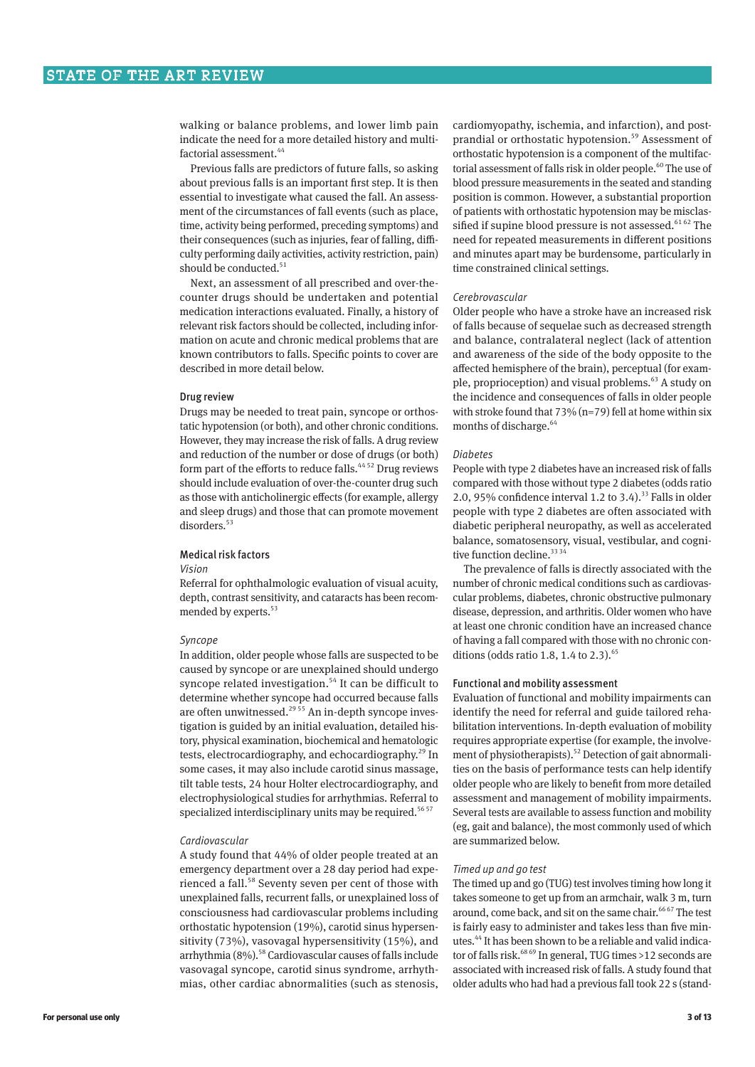walking or balance problems, and lower limb pain indicate the need for a more detailed history and multifactorial assessment.<sup>44</sup>

Previous falls are predictors of future falls, so asking about previous falls is an important first step. It is then essential to investigate what caused the fall. An assessment of the circumstances of fall events (such as place, time, activity being performed, preceding symptoms) and their consequences (such as injuries, fear of falling, difficulty performing daily activities, activity restriction, pain) should be conducted.  $\rm ^{51}$ 

Next, an assessment of all prescribed and over-thecounter drugs should be undertaken and potential medication interactions evaluated. Finally, a history of relevant risk factors should be collected, including information on acute and chronic medical problems that are known contributors to falls. Specific points to cover are described in more detail below.

#### Drug review

Drugs may be needed to treat pain, syncope or orthostatic hypotension (or both), and other chronic conditions. However, they may increase the risk of falls. A drug review and reduction of the number or dose of drugs (or both) form part of the efforts to reduce falls. $4452$  Drug reviews should include evaluation of over-the-counter drug such as those with anticholinergic effects (for example, allergy and sleep drugs) and those that can promote movement disorders.<sup>53</sup>

# Medical risk factors

#### *Vision*

Referral for ophthalmologic evaluation of visual acuity, depth, contrast sensitivity, and cataracts has been recommended by experts.<sup>53</sup>

#### *Syncope*

In addition, older people whose falls are suspected to be caused by syncope or are unexplained should undergo syncope related investigation.<sup>54</sup> It can be difficult to determine whether syncope had occurred because falls are often unwitnessed.<sup>2955</sup> An in-depth syncope investigation is guided by an initial evaluation, detailed history, physical examination, biochemical and hematologic tests, electrocardiography, and echocardiography.<sup>29</sup> In some cases, it may also include carotid sinus massage, tilt table tests, 24 hour Holter electrocardiography, and electrophysiological studies for arrhythmias. Referral to specialized interdisciplinary units may be required.<sup>56 57</sup>

# *Cardiovascular*

A study found that 44% of older people treated at an emergency department over a 28 day period had experienced a fall.<sup>58</sup> Seventy seven per cent of those with unexplained falls, recurrent falls, or unexplained loss of consciousness had cardiovascular problems including orthostatic hypotension (19%), carotid sinus hypersensitivity (73%), vasovagal hypersensitivity (15%), and arrhythmia (8%).<sup>58</sup> Cardiovascular causes of falls include vasovagal syncope, carotid sinus syndrome, arrhythmias, other cardiac abnormalities (such as stenosis,

cardiomyopathy, ischemia, and infarction), and postprandial or orthostatic hypotension.<sup>59</sup> Assessment of orthostatic hypotension is a component of the multifactorial assessment of falls risk in older people.<sup>60</sup> The use of blood pressure measurements in the seated and standing position is common. However, a substantial proportion of patients with orthostatic hypotension may be misclassified if supine blood pressure is not assessed.<sup>61 62</sup> The need for repeated measurements in different positions and minutes apart may be burdensome, particularly in time constrained clinical settings.

# *Cerebrovascular*

Older people who have a stroke have an increased risk of falls because of sequelae such as decreased strength and balance, contralateral neglect (lack of attention and awareness of the side of the body opposite to the affected hemisphere of the brain), perceptual (for example, proprioception) and visual problems.63 A study on the incidence and consequences of falls in older people with stroke found that  $73\%$  (n=79) fell at home within six months of discharge.<sup>64</sup>

#### *Diabetes*

People with type 2 diabetes have an increased risk of falls compared with those without type 2 diabetes (odds ratio 2.0, 95% confidence interval 1.2 to 3.4).<sup>33</sup> Falls in older people with type 2 diabetes are often associated with diabetic peripheral neuropathy, as well as accelerated balance, somatosensory, visual, vestibular, and cognitive function decline.<sup>33 34</sup>

The prevalence of falls is directly associated with the number of chronic medical conditions such as cardiovascular problems, diabetes, chronic obstructive pulmonary disease, depression, and arthritis. Older women who have at least one chronic condition have an increased chance of having a fall compared with those with no chronic conditions (odds ratio 1.8, 1.4 to 2.3). $65$ 

## Functional and mobility assessment

Evaluation of functional and mobility impairments can identify the need for referral and guide tailored rehabilitation interventions. In-depth evaluation of mobility requires appropriate expertise (for example, the involvement of physiotherapists).<sup>52</sup> Detection of gait abnormalities on the basis of performance tests can help identify older people who are likely to benefit from more detailed assessment and management of mobility impairments. Several tests are available to assess function and mobility (eg, gait and balance), the most commonly used of which are summarized below.

#### *Timed up and go test*

The timed up and go (TUG) test involves timing how long it takes someone to get up from an armchair, walk 3 m, turn around, come back, and sit on the same chair.<sup>66 67</sup> The test is fairly easy to administer and takes less than five minutes.44 It has been shown to be a reliable and valid indicator of falls risk.<sup>68 69</sup> In general, TUG times >12 seconds are associated with increased risk of falls. A study found that older adults who had had a previous fall took 22 s (stand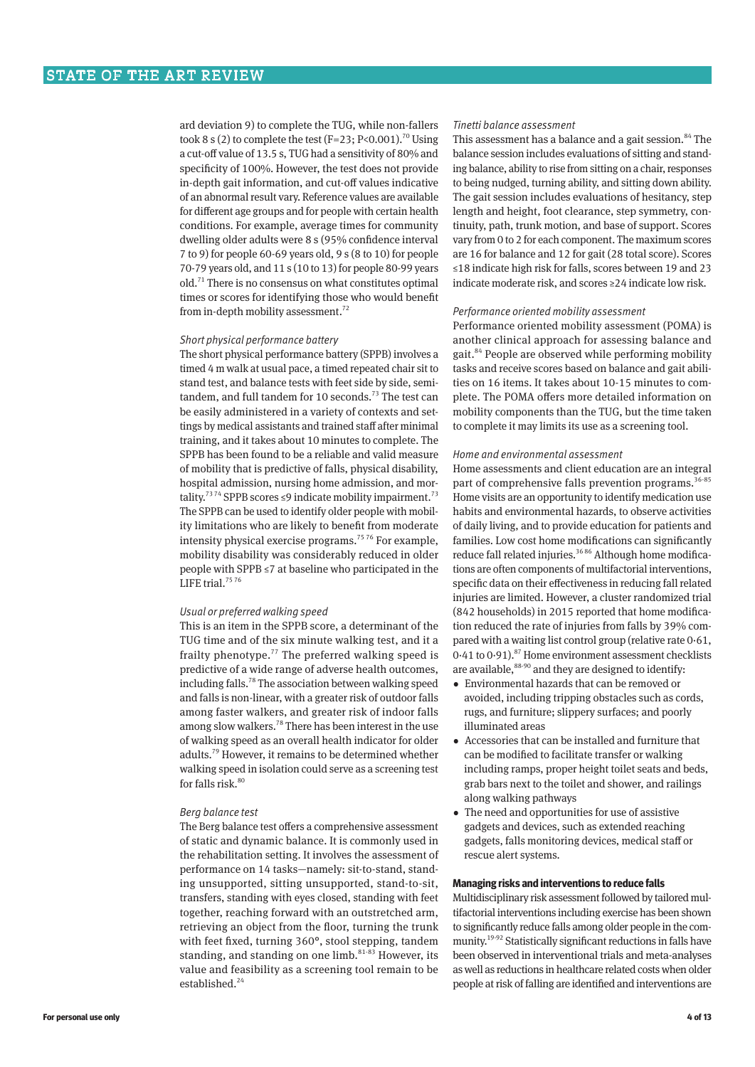ard deviation 9) to complete the TUG, while non-fallers took 8 s (2) to complete the test (F=23; P<0.001).<sup>70</sup> Using a cut-off value of 13.5 s, TUG had a sensitivity of 80% and specificity of 100%. However, the test does not provide in-depth gait information, and cut-off values indicative of an abnormal result vary. Reference values are available for different age groups and for people with certain health conditions. For example, average times for community dwelling older adults were 8 s (95% confidence interval 7 to 9) for people 60-69 years old, 9 s (8 to 10) for people 70-79 years old, and 11 s (10 to 13) for people 80-99 years old.<sup>71</sup> There is no consensus on what constitutes optimal times or scores for identifying those who would benefit from in-depth mobility assessment.<sup>72</sup>

# *Short physical performance battery*

The short physical performance battery (SPPB) involves a timed 4 m walk at usual pace, a timed repeated chair sit to stand test, and balance tests with feet side by side, semitandem, and full tandem for 10 seconds.<sup>73</sup> The test can be easily administered in a variety of contexts and settings by medical assistants and trained staff after minimal training, and it takes about 10 minutes to complete. The SPPB has been found to be a reliable and valid measure of mobility that is predictive of falls, physical disability, hospital admission, nursing home admission, and mortality.<sup>7374</sup> SPPB scores ≤9 indicate mobility impairment.<sup>73</sup> The SPPB can be used to identify older people with mobility limitations who are likely to benefit from moderate intensity physical exercise programs.<sup>7576</sup> For example, mobility disability was considerably reduced in older people with SPPB ≤7 at baseline who participated in the LIFE trial. $7576$ 

#### *Usual or preferred walking speed*

This is an item in the SPPB score, a determinant of the TUG time and of the six minute walking test, and it a frailty phenotype. $^{77}$  The preferred walking speed is predictive of a wide range of adverse health outcomes, including falls.<sup>78</sup> The association between walking speed and falls is non-linear, with a greater risk of outdoor falls among faster walkers, and greater risk of indoor falls among slow walkers.<sup>78</sup> There has been interest in the use of walking speed as an overall health indicator for older adults.79 However, it remains to be determined whether walking speed in isolation could serve as a screening test for falls risk.<sup>80</sup>

#### *Berg balance test*

The Berg balance test offers a comprehensive assessment of static and dynamic balance. It is commonly used in the rehabilitation setting. It involves the assessment of performance on 14 tasks—namely: sit-to-stand, standing unsupported, sitting unsupported, stand-to-sit, transfers, standing with eyes closed, standing with feet together, reaching forward with an outstretched arm, retrieving an object from the floor, turning the trunk with feet fixed, turning 360°, stool stepping, tandem standing, and standing on one limb.<sup>81-83</sup> However, its value and feasibility as a screening tool remain to be established.<sup>24</sup>

# *Tinetti balance assessment*

This assessment has a balance and a gait session.<sup>84</sup> The balance session includes evaluations of sitting and standing balance, ability to rise from sitting on a chair, responses to being nudged, turning ability, and sitting down ability. The gait session includes evaluations of hesitancy, step length and height, foot clearance, step symmetry, continuity, path, trunk motion, and base of support. Scores vary from 0 to 2 for each component. The maximum scores are 16 for balance and 12 for gait (28 total score). Scores ≤18 indicate high risk for falls, scores between 19 and 23 indicate moderate risk, and scores ≥24 indicate low risk.

# *Performance oriented mobility assessment*

Performance oriented mobility assessment (POMA) is another clinical approach for assessing balance and gait.<sup>84</sup> People are observed while performing mobility tasks and receive scores based on balance and gait abilities on 16 items. It takes about 10-15 minutes to complete. The POMA offers more detailed information on mobility components than the TUG, but the time taken to complete it may limits its use as a screening tool.

#### *Home and environmental assessment*

Home assessments and client education are an integral part of comprehensive falls prevention programs.<sup>36-85</sup> Home visits are an opportunity to identify medication use habits and environmental hazards, to observe activities of daily living, and to provide education for patients and families. Low cost home modifications can significantly reduce fall related injuries.<sup>3686</sup> Although home modifications are often components of multifactorial interventions, specific data on their effectiveness in reducing fall related injuries are limited. However, a cluster randomized trial (842 households) in 2015 reported that home modification reduced the rate of injuries from falls by 39% compared with a waiting list control group (relative rate 0·61,  $0.41$  to  $0.91$ ).<sup>87</sup> Home environment assessment checklists are available,<sup>88-90</sup> and they are designed to identify:

- •  Environmental hazards that can be removed or avoided, including tripping obstacles such as cords, rugs, and furniture; slippery surfaces; and poorly illuminated areas
- •  Accessories that can be installed and furniture that can be modified to facilitate transfer or walking including ramps, proper height toilet seats and beds, grab bars next to the toilet and shower, and railings along walking pathways
- The need and opportunities for use of assistive gadgets and devices, such as extended reaching gadgets, falls monitoring devices, medical staff or rescue alert systems.

# **Managing risks and interventions to reduce falls**

Multidisciplinary risk assessment followed by tailored multifactorial interventions including exercise has been shown to significantly reduce falls among older people in the community.19-92 Statistically significant reductions in falls have been observed in interventional trials and meta-analyses as well as reductions in healthcare related costs when older people at risk of falling are identified and interventions are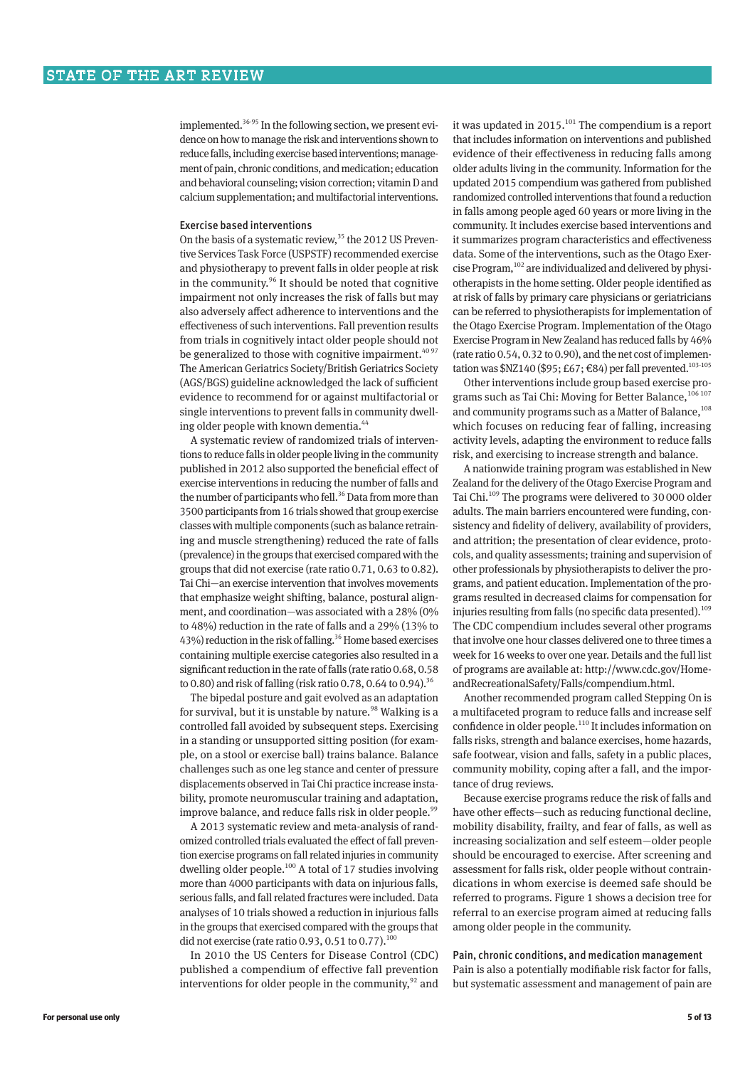implemented.<sup>36-95</sup> In the following section, we present evidence on how to manage the risk and interventions shown to reduce falls, including exercise based interventions; management of pain, chronic conditions, and medication; education and behavioral counseling; vision correction; vitamin D and calcium supplementation; and multifactorial interventions.

# Exercise based interventions

On the basis of a systematic review,<sup>35</sup> the 2012 US Preventive Services Task Force (USPSTF) recommended exercise and physiotherapy to prevent falls in older people at risk in the community.<sup>96</sup> It should be noted that cognitive impairment not only increases the risk of falls but may also adversely affect adherence to interventions and the effectiveness of such interventions. Fall prevention results from trials in cognitively intact older people should not be generalized to those with cognitive impairment.<sup>40 97</sup> The American Geriatrics Society/British Geriatrics Society (AGS/BGS) guideline acknowledged the lack of sufficient evidence to recommend for or against multifactorial or single interventions to prevent falls in community dwelling older people with known dementia.<sup>44</sup>

A systematic review of randomized trials of interventions to reduce falls in older people living in the community published in 2012 also supported the beneficial effect of exercise interventions in reducing the number of falls and the number of participants who fell.<sup>36</sup> Data from more than 3500 participants from 16 trials showed that group exercise classes with multiple components (such as balance retraining and muscle strengthening) reduced the rate of falls (prevalence) in the groups that exercised compared with the groups that did not exercise (rate ratio 0.71, 0.63 to 0.82). Tai Chi—an exercise intervention that involves movements that emphasize weight shifting, balance, postural alignment, and coordination—was associated with a 28% (0% to 48%) reduction in the rate of falls and a 29% (13% to 43%) reduction in the risk of falling.<sup>36</sup> Home based exercises containing multiple exercise categories also resulted in a significant reduction in the rate of falls (rate ratio 0.68, 0.58 to 0.80) and risk of falling (risk ratio 0.78, 0.64 to 0.94).<sup>36</sup>

The bipedal posture and gait evolved as an adaptation for survival, but it is unstable by nature. $98$  Walking is a controlled fall avoided by subsequent steps. Exercising in a standing or unsupported sitting position (for example, on a stool or exercise ball) trains balance. Balance challenges such as one leg stance and center of pressure displacements observed in Tai Chi practice increase instability, promote neuromuscular training and adaptation, improve balance, and reduce falls risk in older people.<sup>99</sup>

A 2013 systematic review and meta-analysis of randomized controlled trials evaluated the effect of fall prevention exercise programs on fall related injuries in community dwelling older people.100 A total of 17 studies involving more than 4000 participants with data on injurious falls, serious falls, and fall related fractures were included. Data analyses of 10 trials showed a reduction in injurious falls in the groups that exercised compared with the groups that did not exercise (rate ratio 0.93, 0.51 to 0.77). $^{100}$ 

In 2010 the US Centers for Disease Control (CDC) published a compendium of effective fall prevention interventions for older people in the community,<sup>92</sup> and

it was updated in 2015. $^{101}$  The compendium is a report that includes information on interventions and published evidence of their effectiveness in reducing falls among older adults living in the community. Information for the updated 2015 compendium was gathered from published randomized controlled interventions that found a reduction in falls among people aged 60 years or more living in the community. It includes exercise based interventions and it summarizes program characteristics and effectiveness data. Some of the interventions, such as the Otago Exercise Program,<sup>102</sup> are individualized and delivered by physiotherapists in the home setting. Older people identified as at risk of falls by primary care physicians or geriatricians can be referred to physiotherapists for implementation of the Otago Exercise Program. Implementation of the Otago Exercise Program in New Zealand has reduced falls by 46% (rate ratio 0.54, 0.32 to 0.90), and the net cost of implementation was \$NZ140 (\$95; £67;  $€84$ ) per fall prevented.<sup>103-105</sup>

Other interventions include group based exercise programs such as Tai Chi: Moving for Better Balance, 106 107 and community programs such as a Matter of Balance, 108 which focuses on reducing fear of falling, increasing activity levels, adapting the environment to reduce falls risk, and exercising to increase strength and balance.

A nationwide training program was established in New Zealand for the delivery of the Otago Exercise Program and Tai Chi.109 The programs were delivered to 30000 older adults. The main barriers encountered were funding, consistency and fidelity of delivery, availability of providers, and attrition; the presentation of clear evidence, protocols, and quality assessments; training and supervision of other professionals by physiotherapists to deliver the programs, and patient education. Implementation of the programs resulted in decreased claims for compensation for injuries resulting from falls (no specific data presented).<sup>109</sup> The CDC compendium includes several other programs that involve one hour classes delivered one to three times a week for 16 weeks to over one year. Details and the full list of programs are available at: http://www.cdc.gov/HomeandRecreationalSafety/Falls/compendium.html.

Another recommended program called Stepping On is a multifaceted program to reduce falls and increase self confidence in older people.<sup>110</sup> It includes information on falls risks, strength and balance exercises, home hazards, safe footwear, vision and falls, safety in a public places, community mobility, coping after a fall, and the importance of drug reviews.

Because exercise programs reduce the risk of falls and have other effects—such as reducing functional decline, mobility disability, frailty, and fear of falls, as well as increasing socialization and self esteem—older people should be encouraged to exercise. After screening and assessment for falls risk, older people without contraindications in whom exercise is deemed safe should be referred to programs. Figure 1 shows a decision tree for referral to an exercise program aimed at reducing falls among older people in the community.

Pain, chronic conditions, and medication management Pain is also a potentially modifiable risk factor for falls, but systematic assessment and management of pain are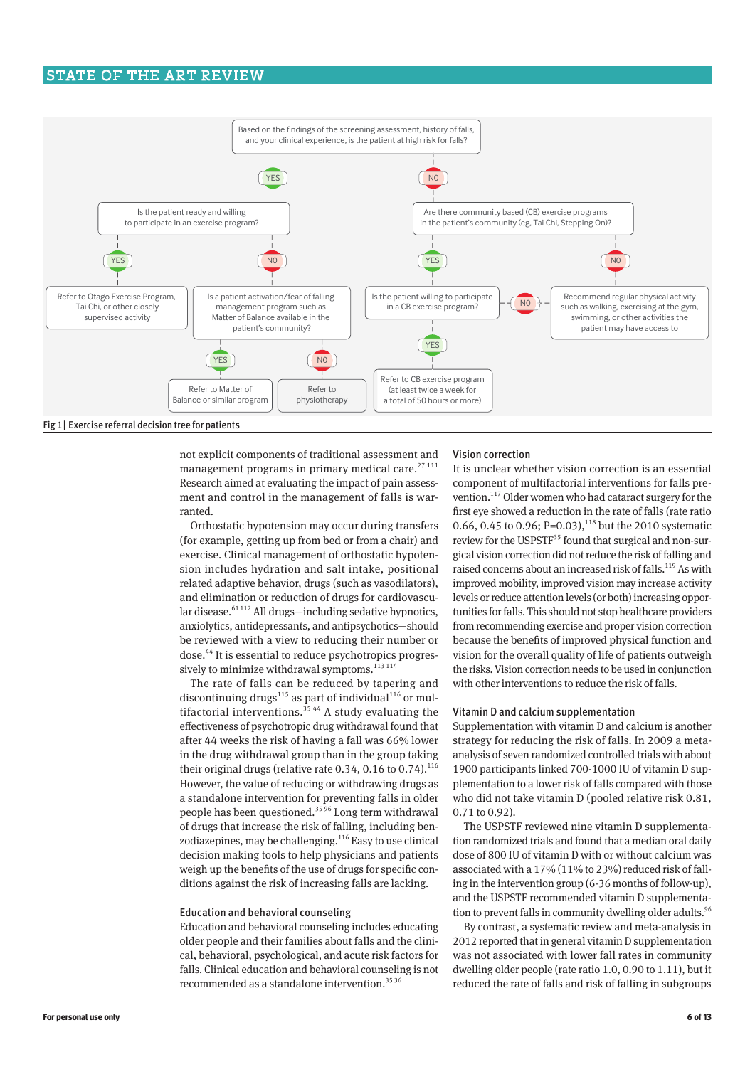# STATE OF THE ART REVIEW



Fig 1| Exercise referral decision tree for patients

not explicit components of traditional assessment and management programs in primary medical care.<sup>27 111</sup> Research aimed at evaluating the impact of pain assessment and control in the management of falls is warranted.

Orthostatic hypotension may occur during transfers (for example, getting up from bed or from a chair) and exercise. Clinical management of orthostatic hypotension includes hydration and salt intake, positional related adaptive behavior, drugs (such as vasodilators), and elimination or reduction of drugs for cardiovascular disease.<sup>61 112</sup> All drugs—including sedative hypnotics, anxiolytics, antidepressants, and antipsychotics—should be reviewed with a view to reducing their number or dose.44 It is essential to reduce psychotropics progressively to minimize withdrawal symptoms. $113114$ 

The rate of falls can be reduced by tapering and discontinuing drugs<sup>115</sup> as part of individual<sup>116</sup> or muldiscommung angles to pure conditions.<br> $35/44$  A study evaluating the effectiveness of psychotropic drug withdrawal found that after 44 weeks the risk of having a fall was 66% lower in the drug withdrawal group than in the group taking their original drugs (relative rate 0.34, 0.16 to 0.74). $^{116}$ However, the value of reducing or withdrawing drugs as a standalone intervention for preventing falls in older people has been questioned.<sup>35 96</sup> Long term withdrawal of drugs that increase the risk of falling, including benzodiazepines, may be challenging.116 Easy to use clinical decision making tools to help physicians and patients weigh up the benefits of the use of drugs for specific conditions against the risk of increasing falls are lacking.

#### Education and behavioral counseling

Education and behavioral counseling includes educating older people and their families about falls and the clinical, behavioral, psychological, and acute risk factors for falls. Clinical education and behavioral counseling is not recommended as a standalone intervention.<sup>35,36</sup>

#### Vision correction

It is unclear whether vision correction is an essential component of multifactorial interventions for falls prevention.<sup>117</sup> Older women who had cataract surgery for the first eye showed a reduction in the rate of falls (rate ratio 0.66, 0.45 to 0.96; P=0.03),<sup>118</sup> but the 2010 systematic review for the USPSTF<sup>35</sup> found that surgical and non-surgical vision correction did not reduce the risk of falling and raised concerns about an increased risk of falls.<sup>119</sup> As with improved mobility, improved vision may increase activity levels or reduce attention levels (or both) increasing opportunities for falls. This should not stop healthcare providers from recommending exercise and proper vision correction because the benefits of improved physical function and vision for the overall quality of life of patients outweigh the risks. Vision correction needs to be used in conjunction with other interventions to reduce the risk of falls.

# Vitamin D and calcium supplementation

Supplementation with vitamin D and calcium is another strategy for reducing the risk of falls. In 2009 a metaanalysis of seven randomized controlled trials with about 1900 participants linked 700-1000 IU of vitamin D supplementation to a lower risk of falls compared with those who did not take vitamin D (pooled relative risk 0.81, 0.71 to 0.92).

The USPSTF reviewed nine vitamin D supplementation randomized trials and found that a median oral daily dose of 800 IU of vitamin D with or without calcium was associated with a 17% (11% to 23%) reduced risk of falling in the intervention group (6-36 months of follow-up), and the USPSTF recommended vitamin D supplementation to prevent falls in community dwelling older adults.<sup>96</sup>

By contrast, a systematic review and meta-analysis in 2012 reported that in general vitamin D supplementation was not associated with lower fall rates in community dwelling older people (rate ratio 1.0, 0.90 to 1.11), but it reduced the rate of falls and risk of falling in subgroups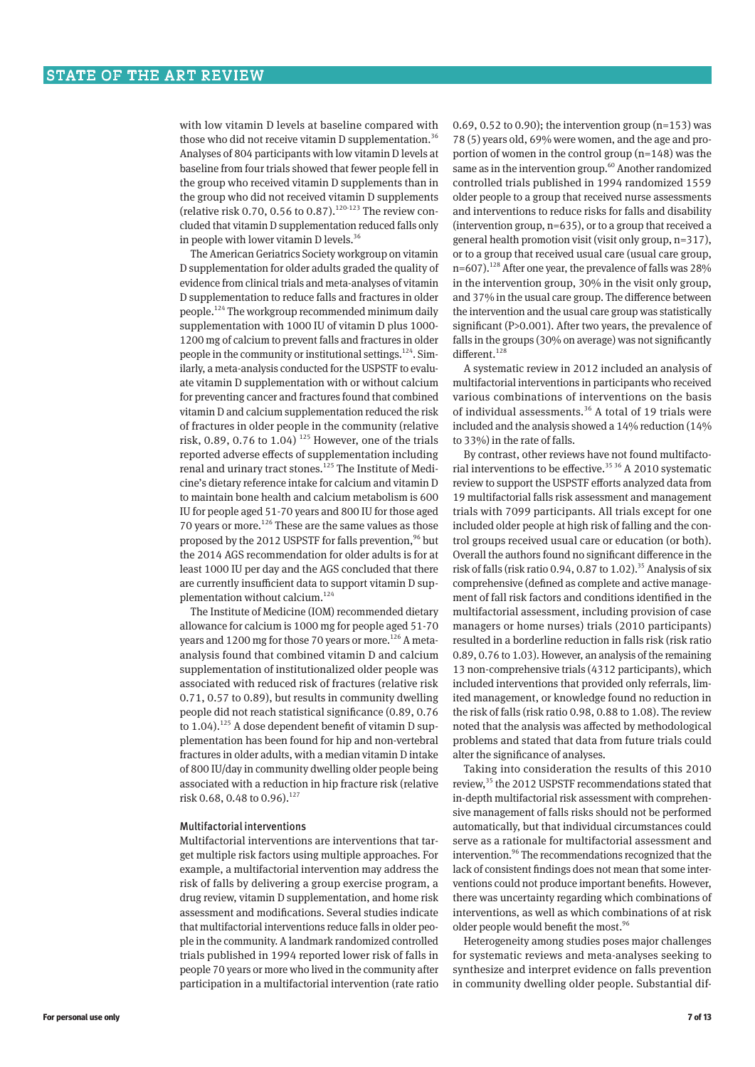with low vitamin D levels at baseline compared with those who did not receive vitamin D supplementation.<sup>36</sup> Analyses of 804 participants with low vitamin D levels at baseline from four trials showed that fewer people fell in the group who received vitamin D supplements than in the group who did not received vitamin D supplements (relative risk 0.70, 0.56 to 0.87).<sup>120-123</sup> The review concluded that vitamin D supplementation reduced falls only in people with lower vitamin D levels.<sup>36</sup>

The American Geriatrics Society workgroup on vitamin D supplementation for older adults graded the quality of evidence from clinical trials and meta-analyses of vitamin D supplementation to reduce falls and fractures in older people.124 The workgroup recommended minimum daily supplementation with 1000 IU of vitamin D plus 1000- 1200 mg of calcium to prevent falls and fractures in older people in the community or institutional settings.<sup>124</sup>. Similarly, a meta-analysis conducted for the USPSTF to evaluate vitamin D supplementation with or without calcium for preventing cancer and fractures found that combined vitamin D and calcium supplementation reduced the risk of fractures in older people in the community (relative risk, 0.89, 0.76 to  $1.04$ )<sup>125</sup> However, one of the trials reported adverse effects of supplementation including renal and urinary tract stones.125 The Institute of Medicine's dietary reference intake for calcium and vitamin D to maintain bone health and calcium metabolism is 600 IU for people aged 51-70 years and 800 IU for those aged 70 years or more.<sup>126</sup> These are the same values as those proposed by the 2012 USPSTF for falls prevention,  $96$  but the 2014 AGS recommendation for older adults is for at least 1000 IU per day and the AGS concluded that there are currently insufficient data to support vitamin D supplementation without calcium.<sup>124</sup>

The Institute of Medicine (IOM) recommended dietary allowance for calcium is 1000 mg for people aged 51-70 years and 1200 mg for those 70 years or more.<sup>126</sup> A metaanalysis found that combined vitamin D and calcium supplementation of institutionalized older people was associated with reduced risk of fractures (relative risk 0.71, 0.57 to 0.89), but results in community dwelling people did not reach statistical significance (0.89, 0.76 to 1.04).<sup>125</sup> A dose dependent benefit of vitamin D supplementation has been found for hip and non-vertebral fractures in older adults, with a median vitamin D intake of 800 IU/day in community dwelling older people being associated with a reduction in hip fracture risk (relative risk 0.68, 0.48 to 0.96).<sup>127</sup>

#### Multifactorial interventions

Multifactorial interventions are interventions that target multiple risk factors using multiple approaches. For example, a multifactorial intervention may address the risk of falls by delivering a group exercise program, a drug review, vitamin D supplementation, and home risk assessment and modifications. Several studies indicate that multifactorial interventions reduce falls in older people in the community. A landmark randomized controlled trials published in 1994 reported lower risk of falls in people 70 years or more who lived in the community after participation in a multifactorial intervention (rate ratio

0.69, 0.52 to 0.90); the intervention group  $(n=153)$  was 78 (5) years old, 69% were women, and the age and proportion of women in the control group (n=148) was the same as in the intervention group.<sup>60</sup> Another randomized controlled trials published in 1994 randomized 1559 older people to a group that received nurse assessments and interventions to reduce risks for falls and disability (intervention group, n=635), or to a group that received a general health promotion visit (visit only group, n=317), or to a group that received usual care (usual care group, n=607).<sup>128</sup> After one year, the prevalence of falls was 28% in the intervention group, 30% in the visit only group, and 37% in the usual care group. The difference between the intervention and the usual care group was statistically significant (P>0.001). After two years, the prevalence of falls in the groups (30% on average) was not significantly different.<sup>128</sup>

A systematic review in 2012 included an analysis of multifactorial interventions in participants who received various combinations of interventions on the basis of individual assessments.<sup>36</sup> A total of 19 trials were included and the analysis showed a 14% reduction (14% to 33%) in the rate of falls.

By contrast, other reviews have not found multifactorial interventions to be effective.<sup>35,36</sup> A 2010 systematic review to support the USPSTF efforts analyzed data from 19 multifactorial falls risk assessment and management trials with 7099 participants. All trials except for one included older people at high risk of falling and the control groups received usual care or education (or both). Overall the authors found no significant difference in the risk of falls (risk ratio 0.94, 0.87 to 1.02).<sup>35</sup> Analysis of six comprehensive (defined as complete and active management of fall risk factors and conditions identified in the multifactorial assessment, including provision of case managers or home nurses) trials (2010 participants) resulted in a borderline reduction in falls risk (risk ratio 0.89, 0.76 to 1.03). However, an analysis of the remaining 13 non-comprehensive trials (4312 participants), which included interventions that provided only referrals, limited management, or knowledge found no reduction in the risk of falls (risk ratio 0.98, 0.88 to 1.08). The review noted that the analysis was affected by methodological problems and stated that data from future trials could alter the significance of analyses.

Taking into consideration the results of this 2010 review,<sup>35</sup> the 2012 USPSTF recommendations stated that in-depth multifactorial risk assessment with comprehensive management of falls risks should not be performed automatically, but that individual circumstances could serve as a rationale for multifactorial assessment and intervention.<sup>96</sup> The recommendations recognized that the lack of consistent findings does not mean that some interventions could not produce important benefits. However, there was uncertainty regarding which combinations of interventions, as well as which combinations of at risk older people would benefit the most.<sup>96</sup>

Heterogeneity among studies poses major challenges for systematic reviews and meta-analyses seeking to synthesize and interpret evidence on falls prevention in community dwelling older people. Substantial dif-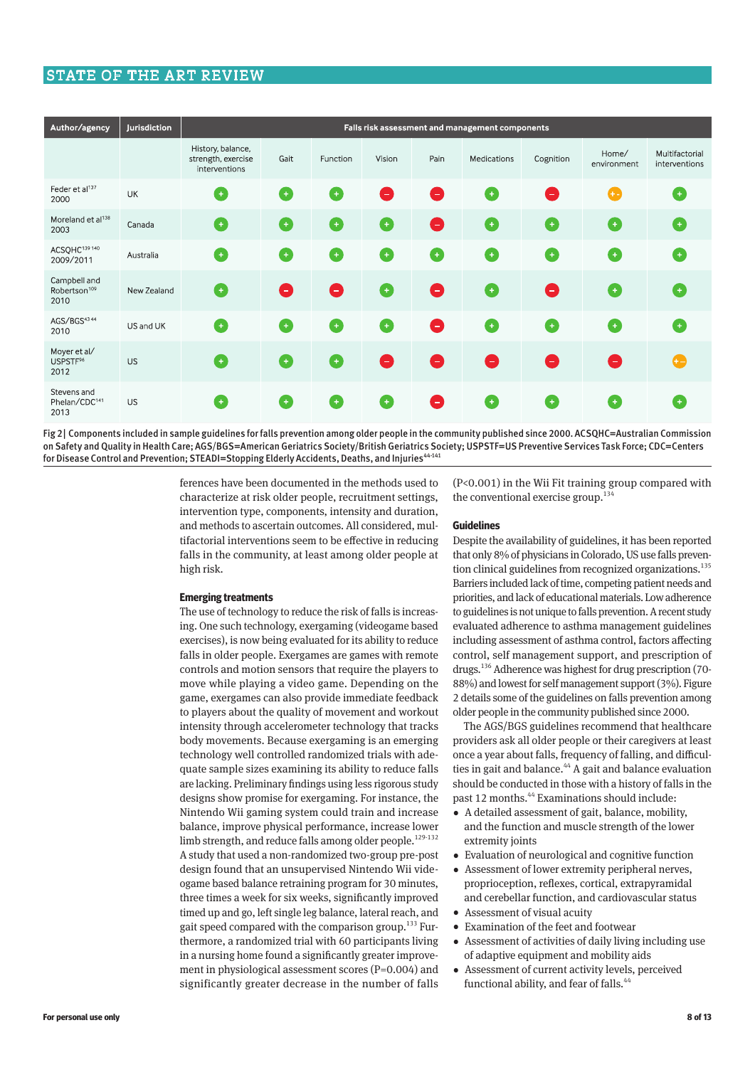# STATE OF THE ART REVIEW

| Author/agency                                    | Jurisdiction | Falls risk assessment and management components          |                   |          |               |                          |                                                 |                 |                      |                                 |  |
|--------------------------------------------------|--------------|----------------------------------------------------------|-------------------|----------|---------------|--------------------------|-------------------------------------------------|-----------------|----------------------|---------------------------------|--|
|                                                  |              | History, balance,<br>strength, exercise<br>interventions | Gait              | Function | Vision        | Pain                     | Medications                                     | Cognition       | Home/<br>environment | Multifactorial<br>interventions |  |
| Feder et al <sup>137</sup><br>2000               | <b>UK</b>    | $(+)$                                                    | $(+)$             | $(+)$    | $\rightarrow$ | $\overline{\phantom{a}}$ | $(+)$                                           | $\sim$          | Œ                    |                                 |  |
| Moreland et al <sup>138</sup><br>2003            | Canada       | $(+)$                                                    | $\left( +\right)$ | Œ        | G             | $\bullet$                | O                                               | $($ +           | $(+)$                | $+$                             |  |
| ACSQHC139140<br>2009/2011                        | Australia    | $(+)$                                                    | $(+)$             | G        | Œ             | $(+)$                    | Œ                                               | (+              | $(+)$                | $+$                             |  |
| Campbell and<br>Robertson <sup>109</sup><br>2010 | New Zealand  | $(+)$                                                    |                   | Œ.       | $(+)$         | $\overline{ }$           | $\left( \begin{array}{c} + \end{array} \right)$ | <b>Common</b>   | $(+)$                |                                 |  |
| AGS/BGS <sup>43 44</sup><br>2010                 | US and UK    | $($ +                                                    | $(+)$             | $^{(+)}$ | Œ             | $\overline{ }$           | $(+)$                                           | $($ +           | $(+)$                | $+$                             |  |
| Moyer et al/<br>USPSTF <sup>96</sup><br>2012     | US           | $(+)$                                                    | $($ +             | $(+)$    | Œ             | $\bullet$                | $\overline{ }$                                  | <b>Contract</b> | $\overline{ }$       |                                 |  |
| Stevens and<br>Phelan/CDC <sup>141</sup><br>2013 | <b>US</b>    | $+$                                                      | $+$               | $+$      | $(+$          | $\sim$                   | $+$                                             |                 |                      |                                 |  |

Fig 2| Components included in sample guidelines for falls prevention among older people in the community published since 2000. ACSQHC=Australian Commission on Safety and Quality in Health Care; AGS/BGS=American Geriatrics Society/British Geriatrics Society; USPSTF=US Preventive Services Task Force; CDC=Centers for Disease Control and Prevention; STEADI=Stopping Elderly Accidents, Deaths, and Injuries<sup>44-141</sup>

> ferences have been documented in the methods used to characterize at risk older people, recruitment settings, intervention type, components, intensity and duration, and methods to ascertain outcomes. All considered, multifactorial interventions seem to be effective in reducing falls in the community, at least among older people at high risk.

## **Emerging treatments**

The use of technology to reduce the risk of falls is increasing. One such technology, exergaming (videogame based exercises), is now being evaluated for its ability to reduce falls in older people. Exergames are games with remote controls and motion sensors that require the players to move while playing a video game. Depending on the game, exergames can also provide immediate feedback to players about the quality of movement and workout intensity through accelerometer technology that tracks body movements. Because exergaming is an emerging technology well controlled randomized trials with adequate sample sizes examining its ability to reduce falls are lacking. Preliminary findings using less rigorous study designs show promise for exergaming. For instance, the Nintendo Wii gaming system could train and increase balance, improve physical performance, increase lower limb strength, and reduce falls among older people.<sup>129-132</sup> A study that used a non-randomized two-group pre-post design found that an unsupervised Nintendo Wii videogame based balance retraining program for 30 minutes, three times a week for six weeks, significantly improved timed up and go, left single leg balance, lateral reach, and gait speed compared with the comparison group. $133$  Furthermore, a randomized trial with 60 participants living in a nursing home found a significantly greater improvement in physiological assessment scores (P=0.004) and significantly greater decrease in the number of falls

(P<0.001) in the Wii Fit training group compared with the conventional exercise group.

# **Guidelines**

Despite the availability of guidelines, it has been reported that only 8% of physicians in Colorado, US use falls prevention clinical guidelines from recognized organizations.<sup>135</sup> Barriers included lack of time, competing patient needs and priorities, and lack of educational materials. Low adherence to guidelines is not unique to falls prevention. A recent study evaluated adherence to asthma management guidelines including assessment of asthma control, factors affecting control, self management support, and prescription of drugs.136 Adherence was highest for drug prescription (70- 88%) and lowest for self management support (3%). Figure 2 details some of the guidelines on falls prevention among older people in the community published since 2000.

The AGS/BGS guidelines recommend that healthcare providers ask all older people or their caregivers at least once a year about falls, frequency of falling, and difficulties in gait and balance.<sup>44</sup> A gait and balance evaluation should be conducted in those with a history of falls in the past 12 months.<sup>44</sup> Examinations should include:

- A detailed assessment of gait, balance, mobility, and the function and muscle strength of the lower extremity joints
- •  Evaluation of neurological and cognitive function
- Assessment of lower extremity peripheral nerves, proprioception, reflexes, cortical, extrapyramidal and cerebellar function, and cardiovascular status •  Assessment of visual acuity
- 
- •  Examination of the feet and footwear
- •  Assessment of activities of daily living including use of adaptive equipment and mobility aids
- Assessment of current activity levels, perceived functional ability, and fear of falls.<sup>44</sup>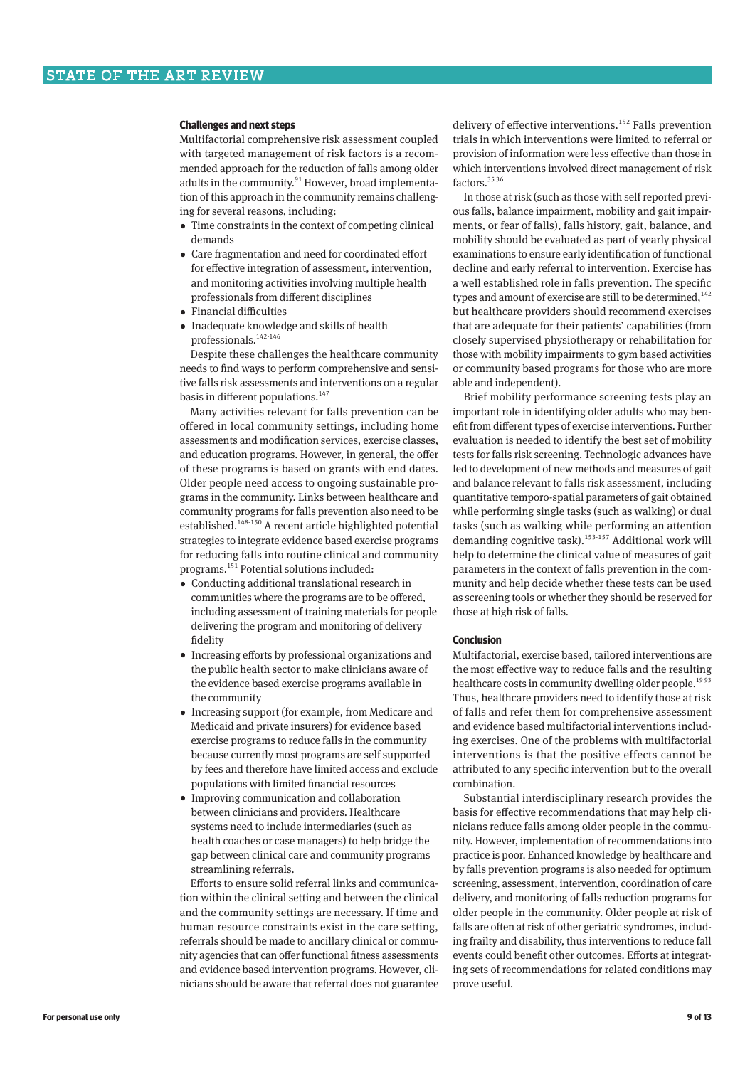# **Challenges and next steps**

Multifactorial comprehensive risk assessment coupled with targeted management of risk factors is a recommended approach for the reduction of falls among older adults in the community. $91$  However, broad implementation of this approach in the community remains challenging for several reasons, including:

- •  Time constraints in the context of competing clinical demands
- •  Care fragmentation and need for coordinated effort for effective integration of assessment, intervention, and monitoring activities involving multiple health professionals from different disciplines
- •  Financial difficulties
- •  Inadequate knowledge and skills of health professionals.<sup>142-146</sup>

Despite these challenges the healthcare community needs to find ways to perform comprehensive and sensitive falls risk assessments and interventions on a regular basis in different populations.<sup>147</sup>

Many activities relevant for falls prevention can be offered in local community settings, including home assessments and modification services, exercise classes, and education programs. However, in general, the offer of these programs is based on grants with end dates. Older people need access to ongoing sustainable programs in the community. Links between healthcare and community programs for falls prevention also need to be established.<sup>148-150</sup> A recent article highlighted potential strategies to integrate evidence based exercise programs for reducing falls into routine clinical and community programs.<sup>151</sup> Potential solutions included:

- •  Conducting additional translational research in communities where the programs are to be offered, including assessment of training materials for people delivering the program and monitoring of delivery fidelity
- •  Increasing efforts by professional organizations and the public health sector to make clinicians aware of the evidence based exercise programs available in the community
- •  Increasing support (for example, from Medicare and Medicaid and private insurers) for evidence based exercise programs to reduce falls in the community because currently most programs are self supported by fees and therefore have limited access and exclude populations with limited financial resources
- •  Improving communication and collaboration between clinicians and providers. Healthcare systems need to include intermediaries (such as health coaches or case managers) to help bridge the gap between clinical care and community programs streamlining referrals.

Efforts to ensure solid referral links and communication within the clinical setting and between the clinical and the community settings are necessary. If time and human resource constraints exist in the care setting, referrals should be made to ancillary clinical or community agencies that can offer functional fitness assessments and evidence based intervention programs. However, clinicians should be aware that referral does not guarantee delivery of effective interventions.152 Falls prevention trials in which interventions were limited to referral or provision of information were less effective than those in which interventions involved direct management of risk factors.<sup>35</sup>36</sup>

In those at risk (such as those with self reported previous falls, balance impairment, mobility and gait impairments, or fear of falls), falls history, gait, balance, and mobility should be evaluated as part of yearly physical examinations to ensure early identification of functional decline and early referral to intervention. Exercise has a well established role in falls prevention. The specific types and amount of exercise are still to be determined,<sup>142</sup> but healthcare providers should recommend exercises that are adequate for their patients' capabilities (from closely supervised physiotherapy or rehabilitation for those with mobility impairments to gym based activities or community based programs for those who are more able and independent).

Brief mobility performance screening tests play an important role in identifying older adults who may benefit from different types of exercise interventions. Further evaluation is needed to identify the best set of mobility tests for falls risk screening. Technologic advances have led to development of new methods and measures of gait and balance relevant to falls risk assessment, including quantitative temporo-spatial parameters of gait obtained while performing single tasks (such as walking) or dual tasks (such as walking while performing an attention demanding cognitive task).153-157 Additional work will help to determine the clinical value of measures of gait parameters in the context of falls prevention in the community and help decide whether these tests can be used as screening tools or whether they should be reserved for those at high risk of falls.

#### **Conclusion**

Multifactorial, exercise based, tailored interventions are the most effective way to reduce falls and the resulting healthcare costs in community dwelling older people.<sup>1993</sup> Thus, healthcare providers need to identify those at risk of falls and refer them for comprehensive assessment and evidence based multifactorial interventions including exercises. One of the problems with multifactorial interventions is that the positive effects cannot be attributed to any specific intervention but to the overall combination.

Substantial interdisciplinary research provides the basis for effective recommendations that may help clinicians reduce falls among older people in the community. However, implementation of recommendations into practice is poor. Enhanced knowledge by healthcare and by falls prevention programs is also needed for optimum screening, assessment, intervention, coordination of care delivery, and monitoring of falls reduction programs for older people in the community. Older people at risk of falls are often at risk of other geriatric syndromes, including frailty and disability, thus interventions to reduce fall events could benefit other outcomes. Efforts at integrating sets of recommendations for related conditions may prove useful.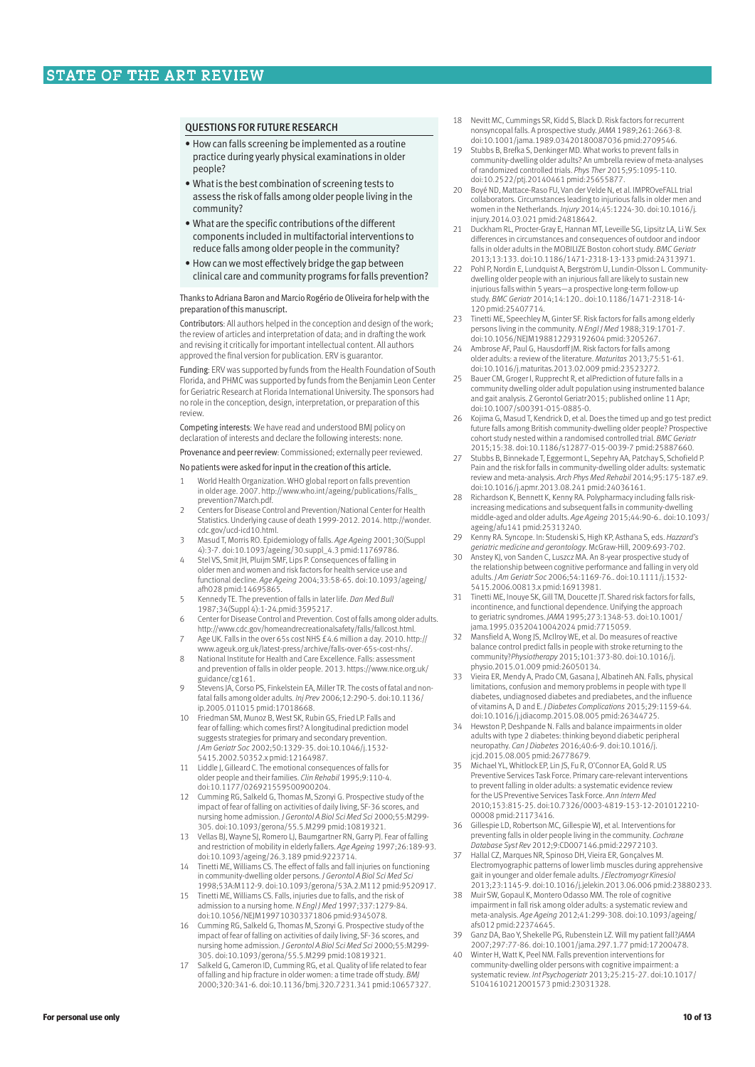#### QUESTIONS FOR FUTURE RESEARCH

- How can falls screening be implemented as a routine practice during yearly physical examinations in older people?
- What is the best combination of screening tests to assess the risk of falls among older people living in the community?
- What are the specific contributions of the different components included in multifactorial interventions to reduce falls among older people in the community?
- How can we most effectively bridge the gap between clinical care and community programs for falls prevention?

#### Thanks to Adriana Baron and Marcio Rogério de Oliveira for help with the preparation of this manuscript.

Contributors: All authors helped in the conception and design of the work; the review of articles and interpretation of data; and in drafting the work and revising it critically for important intellectual content. All authors approved the final version for publication. ERV is guarantor.

Funding: ERV was supported by funds from the Health Foundation of South Florida, and PHMC was supported by funds from the Benjamin Leon Center for Geriatric Research at Florida International University. The sponsors had no role in the conception, design, interpretation, or preparation of this review.

Competing interests: We have read and understood BMJ policy on declaration of interests and declare the following interests: none.

Provenance and peer review: Commissioned; externally peer reviewed.

# No patients were asked for input in the creation of this article.

- 1 World Health Organization. WHO global report on falls prevention in older age. 2007. http://www.who.int/ageing/publications/Falls\_ prevention7March.pdf.
- <sup>2</sup><br>Centers for Disease Control and Prevention/National Center for Health Statistics. Underlying cause of death 1999-2012. 2014. http://wonder. cdc.gov/ucd-icd10.html.
- 3 Masud T, Morris RO. Epidemiology of falls. *Age Ageing* 2001;30(Suppl 4):3-7. doi:10.1093/ageing/30.suppl\_4.3 pmid:11769786. 4 Stel VS, Smit JH, Pluijm SMF, Lips P. Consequences of falling in
- older men and women and risk factors for health service use and functional decline. *Age Ageing* 2004;33:58-65. doi:10.1093/ageing/ afh028 pmid:14695865.
- 5 Kennedy TE. The prevention of falls in later life. *Dan Med Bull* 1987;34(Suppl 4):1-24.pmid:3595217.
- 6 Center for Disease Control and Prevention. Cost of falls among older adults. http://www.cdc.gov/homeandrecreationalsafety/falls/fallcost.html.
- Age UK. Falls in the over 65s cost NHS £4.6 million a day. 2010. http:// www.ageuk.org.uk/latest-press/archive/falls-over-65s-cost-nhs/.
- 8 National Institute for Health and Care Excellence. Falls: assessment and prevention of falls in older people. 2013. https://www.nice.org.uk/ guidance/cg161.
- 9 Stevens JA, Corso PS, Finkelstein EA, Miller TR. The costs of fatal and nonfatal falls among older adults. *Inj Prev* 2006;12:290-5. doi:10.1136/ ip.2005.011015 pmid:17018668.
- Friedman SM, Munoz B, West SK, Rubin GS, Fried LP. Falls and fear of falling: which comes first? A longitudinal prediction model suggests strategies for primary and secondary prevention. *J Am Geriatr Soc* 2002;50:1329-35. doi:10.1046/j.1532- 5415.2002.50352.x pmid:12164987.
- 11 Liddle J, Gilleard C. The emotional consequences of falls for older people and their families. *Clin Rehabil* 1995;9:110-4. doi:10.1177/026921559500900204.
- 12 Cumming RG, Salkeld G, Thomas M, Szonyi G. Prospective study of the impact of fear of falling on activities of daily living, SF-36 scores, and nursing home admission. *J Gerontol A Biol Sci Med Sci* 2000;55:M299-
- 305. doi:10.1093/gerona/55.5.M299 pmid:10819321. 13 Vellas BJ, Wayne SJ, Romero LJ, Baumgartner RN, Garry PJ. Fear of falling and restriction of mobility in elderly fallers. *Age Ageing* 1997;26:189-93. doi:10.1093/ageing/26.3.189 pmid:9223714.
- 14 Tinetti ME, Williams CS. The effect of falls and fall injuries on functioning in community-dwelling older persons. *J Gerontol A Biol Sci Med Sci* 1998;53A:M112-9. doi:10.1093/gerona/53A.2.M112 pmid:9520917.
- 15 Tinetti ME, Williams CS. Falls, injuries due to falls, and the risk of admission to a nursing home. *N Engl J Med* 1997;337:1279-84. doi:10.1056/NEJM199710303371806 pmid:9345078. 16 Cumming RG, Salkeld G, Thomas M, Szonyi G. Prospective study of the
- impact of fear of falling on activities of daily living, SF-36 scores, and nursing home admission. *J Gerontol A Biol Sci Med Sci* 2000;55:M299- 305. doi:10.1093/gerona/55.5.M299 pmid:10819321.
- 17 Salkeld G, Cameron ID, Cumming RG, et al. Quality of life related to fear of falling and hip fracture in older women: a time trade off study. *BMJ* 2000;320:341-6. doi:10.1136/bmj.320.7231.341 pmid:10657327.
- 18 Nevitt MC, Cummings SR, Kidd S, Black D. Risk factors for recurrent nonsyncopal falls. A prospective study. *JAMA* 1989;261:2663-8. doi:10.1001/jama.1989.03420180087036 pmid:2709546.
- 19 Stubbs B, Brefka S, Denkinger MD. What works to prevent falls in community-dwelling older adults? An umbrella review of meta-analyses of randomized controlled trials. *Phys Ther* 2015;95:1095-110. doi:10.2522/ptj.20140461 pmid:25655877.
- 20 Boyé ND, Mattace-Raso FU, Van der Velde N, et al. IMPROveFALL trial collaborators. Circumstances leading to injurious falls in older men and women in the Netherlands. *Injury* 2014;45:1224-30. doi:10.1016/j. injury.2014.03.021 pmid:24818642.
- 21 Duckham RL, Procter-Gray E, Hannan MT, Leveille SG, Lipsitz LA, Li W. Sex differences in circumstances and consequences of outdoor and indoor falls in older adults in the MOBILIZE Boston cohort study. *BMC Geriatr* 2013;13:133. doi:10.1186/1471-2318-13-133 pmid:24313971.
- Pohl P, Nordin E, Lundquist A, Bergström U, Lundin-Olsson L. Communitydwelling older people with an injurious fall are likely to sustain new injurious falls within 5 years—a prospective long-term follow-up study. *BMC Geriatr* 2014;14:120.. doi:10.1186/1471-2318-14- 120 pmid:25407714.
- 23 Tinetti ME, Speechley M, Ginter SF. Risk factors for falls among elderly<br>persons living in the community. *N Engl J Med* 1988;319:1701-7.<br>doi:10.1056/NEJM198812293192604 pmid:3205267.
- Ambrose AF, Paul G, Hausdorff JM. Risk factors for falls among older adults: a review of the literature. *Maturitas* 2013;75:51-61. doi:10.1016/j.maturitas.2013.02.009 pmid:23523272.
- 25 Bauer CM, Groger I, Rupprecht R, et alPrediction of future falls in a community dwelling older adult population using instrumented balance and gait analysis. Z Gerontol Geriatr2015; published online 11 Apr; doi:10.1007/s00391-015-0885-0.
- 26 Kojima G, Masud T, Kendrick D, et al. Does the timed up and go test predict future falls among British community-dwelling older people? Prospective cohort study nested within a randomised controlled trial. *BMC Geriatr* 2015;15:38. doi:10.1186/s12877-015-0039-7 pmid:25887660.
- 27 Stubbs B, Binnekade T, Eggermont L, Sepehry AA, Patchay S, Schofield P. Pain and the risk for falls in community-dwelling older adults: systematic review and meta-analysis. *Arch Phys Med Rehabil* 2014;95:175-187.e9. doi:10.1016/j.apmr.2013.08.241 pmid:24036161.
- Richardson K, Bennett K, Kenny RA. Polypharmacy including falls riskincreasing medications and subsequent falls in community-dwelling middle-aged and older adults. *Age Ageing* 2015;44:90-6.. doi:10.1093/ ageing/afu141 pmid:25313240.
- 29 Kenny RA. Syncope. In: Studenski S, High KP, Asthana S, eds. *Hazzard's geriatric medicine and gerontology*. McGraw-Hill, 2009:693-702.
- 30 Anstey KJ, von Sanden C, Luszcz MA. An 8-year prospective study of the relationship between cognitive performance and falling in very old adults. *J Am Geriatr Soc* 2006;54:1169-76.. doi:10.1111/j.1532- 5415.2006.00813.x pmid:16913981.
- Tinetti ME, Inouye SK, Gill TM, Doucette JT. Shared risk factors for falls, incontinence, and functional dependence. Unifying the approach to geriatric syndromes. *JAMA* 1995;273:1348-53. doi:10.1001/ jama.1995.03520410042024 pmid:7715059.
- 32 Mansfield A, Wong JS, McIlroy WE, et al. Do measures of reactive balance control predict falls in people with stroke returning to the community?*Physiotherapy* 2015;101:373-80. doi:10.1016/j. physio.2015.01.009 pmid:26050134.
- 33 Vieira ER, Mendy A, Prado CM, Gasana J, Albatineh AN. Falls, physical limitations, confusion and memory problems in people with type II diabetes, undiagnosed diabetes and prediabetes, and the infl of vitamins A, D and E. *J Diabetes Complications* 2015;29:1159-64. doi:10.1016/j.jdiacomp.2015.08.005 pmid:26344725.
- 34 Hewston P, Deshpande N. Falls and balance impairments in older adults with type 2 diabetes: thinking beyond diabetic peripheral neuropathy. *Can J Diabetes* 2016;40:6-9. doi:10.1016/j.
- jcjd.2015.08.005 pmid:26778679. 35 Michael YL, Whitlock EP, Lin JS, Fu R, O'Connor EA, Gold R. US Preventive Services Task Force. Primary care-relevant interventions to prevent falling in older adults: a systematic evidence review for the US Preventive Services Task Force. *Ann Intern Med* 2010;153:815-25. doi:10.7326/0003-4819-153-12-201012210- 00008 pmid:21173416.
- 36 Gillespie LD, Robertson MC, Gillespie WJ, et al. Interventions for preventing falls in older people living in the community. *Cochrane Database Syst Rev* 2012;9:CD007146.pmid:22972103.
- 37 Hallal CZ, Marques NR, Spinoso DH, Vieira ER, Gonçalves M. Electromyographic patterns of lower limb muscles during apprehensive gait in younger and older female adults. *J Electromyogr Kinesiol* 2013;23:1145-9. doi:10.1016/j.jelekin.2013.06.006 pmid:23880233.
- 38 Muir SW, Gopaul K, Montero Odasso MM. The role of cognitive impairment in fall risk among older adults: a systematic review and meta-analysis. *Age Ageing* 2012;41:299-308. doi:10.1093/ageing/ afs012 pmid:22374645.
- 39 Ganz DA, Bao Y, Shekelle PG, Rubenstein LZ. Will my patient fall?*JAMA* 2007;297:77-86. doi:10.1001/jama.297.1.77 pmid:17200478.
- 40 Winter H, Watt K, Peel NM. Falls prevention interventions for community-dwelling older persons with cognitive impairment: a systematic review. *Int Psychogeriatr* 2013;25:215-27. doi:10.1017/ S1041610212001573 pmid:23031328.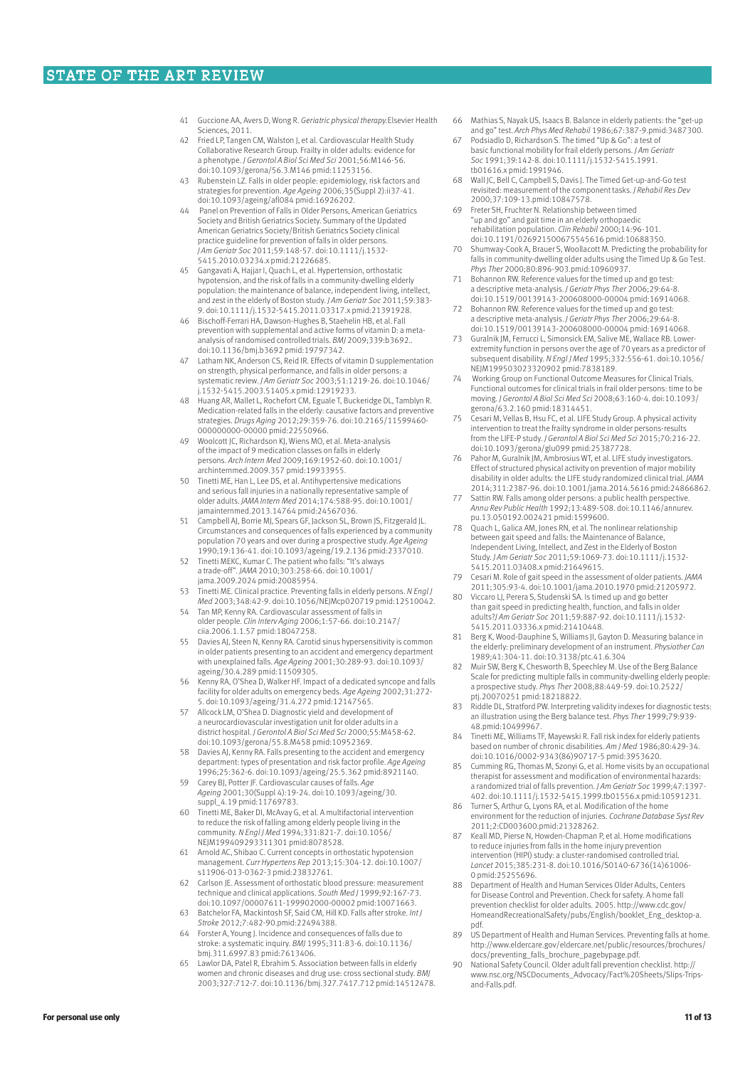- 41 Guccione AA, Avers D, Wong R. *Geriatric physical therapy.*Elsevier Health Sciences, 2011.
- 42 Fried LP, Tangen CM, Walston J, et al. Cardiovascular Health Study Collaborative Research Group. Frailty in older adults: evidence for a phenotype. *J Gerontol A Biol Sci Med Sci* 2001;56:M146-56. doi:10.1093/gerona/56.3.M146 pmid:11253156.
- Rubenstein LZ. Falls in older people: epidemiology, risk factors and strategies for prevention. *Age Ageing* 2006;35(Suppl 2):ii37-41. doi:10.1093/ageing/afl084 pmid:16926202.
- 44 Panel on Prevention of Falls in Older Persons, American Geriatrics Society and British Geriatrics Society. Summary of the Updated American Geriatrics Society/British Geriatrics Society clinical practice guideline for prevention of falls in older persons. *J Am Geriatr Soc* 2011;59:148-57. doi:10.1111/j.1532- 5415.2010.03234.x pmid:21226685.
- 45 Gangavati A, Hajjar I, Quach L, et al. Hypertension, orthostatic hypotension, and the risk of falls in a community-dwelling elderly population: the maintenance of balance, independent living, intellect, and zest in the elderly of Boston study. *J Am Geriatr Soc* 2011;59:383- 9. doi:10.1111/j.1532-5415.2011.03317.x pmid:21391928.
- 46 Bischoff-Ferrari HA, Dawson-Hughes B, Staehelin HB, et al. Fall prevention with supplemental and active forms of vitamin D: a metaanalysis of randomised controlled trials. *BMJ* 2009;339:b3692.. doi:10.1136/bmj.b3692 pmid:19797342.
- 47 Latham NK, Anderson CS, Reid IR. Effects of vitamin D supplementation on strength, physical performance, and falls in older persons: a systematic review. *J Am Geriatr Soc* 2003;51:1219-26. doi:10.1046/ j.1532-5415.2003.51405.x pmid:12919233.
- 48 Huang AR, Mallet L, Rochefort CM, Eguale T, Buckeridge DL, Tamblyn R. Medication-related falls in the elderly: causative factors and preventive strategies. *Drugs Aging* 2012;29:359-76. doi:10.2165/11599460- 000000000-00000 pmid:22550966.
- 49 Woolcott JC, Richardson KJ, Wiens MO, et al. Meta-analysis of the impact of 9 medication classes on falls in elderly persons. *Arch Intern Med* 2009;169:1952-60. doi:10.1001/ archinternmed.2009.357 pmid:19933955.
- 50 Tinetti ME, Han L, Lee DS, et al. Antihypertensive medications and serious fall injuries in a nationally representative sample of older adults. *JAMA Intern Med* 2014;174:588-95. doi:10.1001/ jamainternmed.2013.14764 pmid:24567036.
- 51 Campbell AJ, Borrie MJ, Spears GF, Jackson SL, Brown JS, Fitzgerald JL. Circumstances and consequences of falls experienced by a community population 70 years and over during a prospective study. *Age Ageing* 1990;19:136-41. doi:10.1093/ageing/19.2.136 pmid:2337010.
- 52 Tinetti MEKC, Kumar C. The patient who falls: "It's always a trade-off". *JAMA* 2010;303:258-66. doi:10.1001/ jama.2009.2024 pmid:20085954.
- 53 Tinetti ME. Clinical practice. Preventing falls in elderly persons. *N Engl J Med* 2003;348:42-9. doi:10.1056/NEJMcp020719 pmid:12510042.
- 54 Tan MP, Kenny RA. Cardiovascular assessment of falls in older people. *Clin Interv Aging* 2006;1:57-66. doi:10.2147/ ciia.2006.1.1.57 pmid:18047258.
- 55 Davies AJ, Steen N, Kenny RA. Carotid sinus hypersensitivity is common in older patients presenting to an accident and emergency department with unexplained falls. *Age Ageing* 2001;30:289-93. doi:10.1093/ ageing/30.4.289 pmid:11509305.
- Kenny RA, O'Shea D, Walker HF. Impact of a dedicated syncope and falls facility for older adults on emergency beds. *Age Ageing* 2002;31:272- 5. doi:10.1093/ageing/31.4.272 pmid:12147565.
- 57 Allcock LM, O'Shea D. Diagnostic yield and development of a neurocardiovascular investigation unit for older adults in a district hospital. *J Gerontol A Biol Sci Med Sci* 2000;55:M458-62. doi:10.1093/gerona/55.8.M458 pmid:10952369.
- 58 Davies AJ, Kenny RA. Falls presenting to the accident and emergency department: types of presentation and risk factor profile. *Age Ageing* 1996;25:362-6. doi:10.1093/ageing/25.5.362 pmid:8921140.
- 59 Carey BJ, Potter JF. Cardiovascular causes of falls. *Age Ageing* 2001;30(Suppl 4):19-24. doi:10.1093/ageing/30. suppl\_4.19 pmid:11769783.
- 60 Tinetti ME, Baker DI, McAvay G, et al. A multifactorial intervention to reduce the risk of falling among elderly people living in the community. *N Engl J Med* 1994;331:821-7. doi:10.1056/ NEJM199409293311301 pmid:8078528.
- Arnold AC, Shibao C. Current concepts in orthostatic hypotension management. *Curr Hypertens Rep* 2013;15:304-12. doi:10.1007/ s11906-013-0362-3 pmid:23832761.
- 62 Carlson JE. Assessment of orthostatic blood pressure: measurement technique and clinical applications. *South Med J* 1999;92:167-73. doi:10.1097/00007611-199902000-00002 pmid:10071663.
- 63 Batchelor FA, Mackintosh SF, Said CM, Hill KD. Falls after stroke. *Int J Stroke* 2012;7:482-90.pmid:22494388.
- 64 Forster A, Young J. Incidence and consequences of falls due to stroke: a systematic inquiry. *BMJ* 1995;311:83-6. doi:10.1136/ bmj.311.6997.83 pmid:7613406.
- 65 Lawlor DA, Patel R, Ebrahim S. Association between falls in elderly women and chronic diseases and drug use: cross sectional study. *BMJ* 2003;327:712-7. doi:10.1136/bmj.327.7417.712 pmid:14512478.
- 66 Mathias S, Nayak US, Isaacs B. Balance in elderly patients: the "get-up and go" test. *Arch Phys Med Rehabil* 1986;67:387-9.pmid:3487300.
	- 67 Podsiadlo D, Richardson S. The timed "Up & Go": a test of basic functional mobility for frail elderly persons. *J Am Geriatr Soc* 1991;39:142-8. doi:10.1111/j.1532-5415.1991. tb01616.x pmid:1991946.
- 68 Wall JC, Bell C, Campbell S, Davis J. The Timed Get-up-and-Go test revisited: measurement of the component tasks. *J Rehabil Res Dev* 2000;37:109-13.pmid:10847578.
- Freter SH, Fruchter N. Relationship between timed "up and go" and gait time in an elderly orthopaedic rehabilitation population. *Clin Rehabil* 2000;14:96-101. doi:10.1191/026921500675545616 pmid:10688350.
- 70 Shumway-Cook A, Brauer S, Woollacott M. Predicting the probability for falls in community-dwelling older adults using the Timed Up & Go Test. *Phys Ther* 2000;80:896-903.pmid:10960937.
- 71 Bohannon RW. Reference values for the timed up and go test: a descriptive meta-analysis. *J Geriatr Phys Ther* 2006;29:64-8. doi:10.1519/00139143-200608000-00004 pmid:16914068.
- 72 Bohannon RW. Reference values for the timed up and go test: a descriptive meta-analysis. *J Geriatr Phys Ther* 2006;29:64-8. doi:10.1519/00139143-200608000-00004 pmid:16914068.
- 73 Guralnik JM, Ferrucci L, Simonsick EM, Salive ME, Wallace RB. Lowerextremity function in persons over the age of 70 years as a predictor of subsequent disability. *N Engl J Med* 1995;332:556-61. doi:10.1056/ NEJM199503023320902 pmid:7838189.
- 74 Working Group on Functional Outcome Measures for Clinical Trials. Functional outcomes for clinical trials in frail older persons: time to be moving. *J Gerontol A Biol Sci Med Sci* 2008;63:160-4. doi:10.1093/ gerona/63.2.160 pmid:18314451.
- Cesari M, Vellas B, Hsu FC, et al. LIFE Study Group. A physical activity intervention to treat the frailty syndrome in older persons-results from the LIFE-P study. *J Gerontol A Biol Sci Med Sci* 2015;70:216-22. doi:10.1093/gerona/glu099 pmid:25387728.
- 76 Pahor M, Guralnik JM, Ambrosius WT, et al. LIFE study investigators. Effect of structured physical activity on prevention of major mobility disability in older adults: the LIFE study randomized clinical trial. *JAMA* 2014;311:2387-96. doi:10.1001/jama.2014.5616 pmid:24866862.
- Sattin RW. Falls among older persons: a public health perspective. *Annu Rev Public Health* 1992;13:489-508. doi:10.1146/annurev. pu.13.050192.002421 pmid:1599600.
- 78 Quach L, Galica AM, Jones RN, et al. The nonlinear relationship between gait speed and falls: the Maintenance of Balance, Independent Living, Intellect, and Zest in the Elderly of Boston Study. *J Am Geriatr Soc* 2011;59:1069-73. doi:10.1111/j.1532- 5415.2011.03408.x pmid:21649615.
- 79 Cesari M. Role of gait speed in the assessment of older patients. *JAMA* 2011;305:93-4. doi:10.1001/jama.2010.1970 pmid:21205972.
- 80 Viccaro LJ, Perera S, Studenski SA. Is timed up and go better than gait speed in predicting health, function, and falls in older adults?*J Am Geriatr Soc* 2011;59:887-92. doi:10.1111/j.1532- 5415.2011.03336.x pmid:21410448.
- 81 Berg K, Wood-Dauphine S, Williams JI, Gayton D. Measuring balance in the elderly: preliminary development of an instrument. *Physiother Can* 1989;41:304-11. doi:10.3138/ptc.41.6.304
- 82 Muir SW, Berg K, Chesworth B, Speechley M. Use of the Berg Balance Scale for predicting multiple falls in community-dwelling elderly people: a prospective study. *Phys Ther* 2008;88:449-59. doi:10.2522/ ptj.20070251 pmid:18218822.
- 83 Riddle DL, Stratford PW. Interpreting validity indexes for diagnostic tests: an illustration using the Berg balance test. *Phys Ther* 1999;79:939- 48.pmid:10499967.
- Tinetti ME, Williams TF, Mayewski R. Fall risk index for elderly patients based on number of chronic disabilities. *Am J Med* 1986;80:429-34. doi:10.1016/0002-9343(86)90717-5 pmid:3953620.
- 85 Cumming RG, Thomas M, Szonyi G, et al. Home visits by an occupational therapist for assessment and modification of environmental hazards: a randomized trial of falls prevention. *J Am Geriatr Soc* 1999;47:1397- 402. doi:10.1111/j.1532-5415.1999.tb01556.x pmid:10591231.
- 86 Turner S, Arthur G, Lyons RA, et al. Modification of the home environment for the reduction of injuries. *Cochrane Database Syst Rev* 2011;2:CD003600.pmid:21328262.
- Keall MD, Pierse N, Howden-Chapman P, et al. Home modifications to reduce injuries from falls in the home injury prevention intervention (HIPI) study: a cluster-randomised controlled trial. *Lancet* 2015;385:231-8. doi:10.1016/S0140-6736(14)61006- 0 pmid:25255696.
- Department of Health and Human Services Older Adults, Centers for Disease Control and Prevention. Check for safety. A home fall prevention checklist for older adults. 2005. http://www.cdc.gov/ HomeandRecreationalSafety/pubs/English/booklet\_Eng\_desktop-a. pdf.
- 89 US Department of Health and Human Services. Preventing falls at home. http://www.eldercare.gov/eldercare.net/public/resources/brochures/ docs/preventing\_falls\_brochure\_pagebypage.pdf.
- 90 National Safety Council. Older adult fall prevention checklist. http:// www.nsc.org/NSCDocuments\_Advocacy/Fact%20Sheets/Slips-Tripsand-Falls.pdf.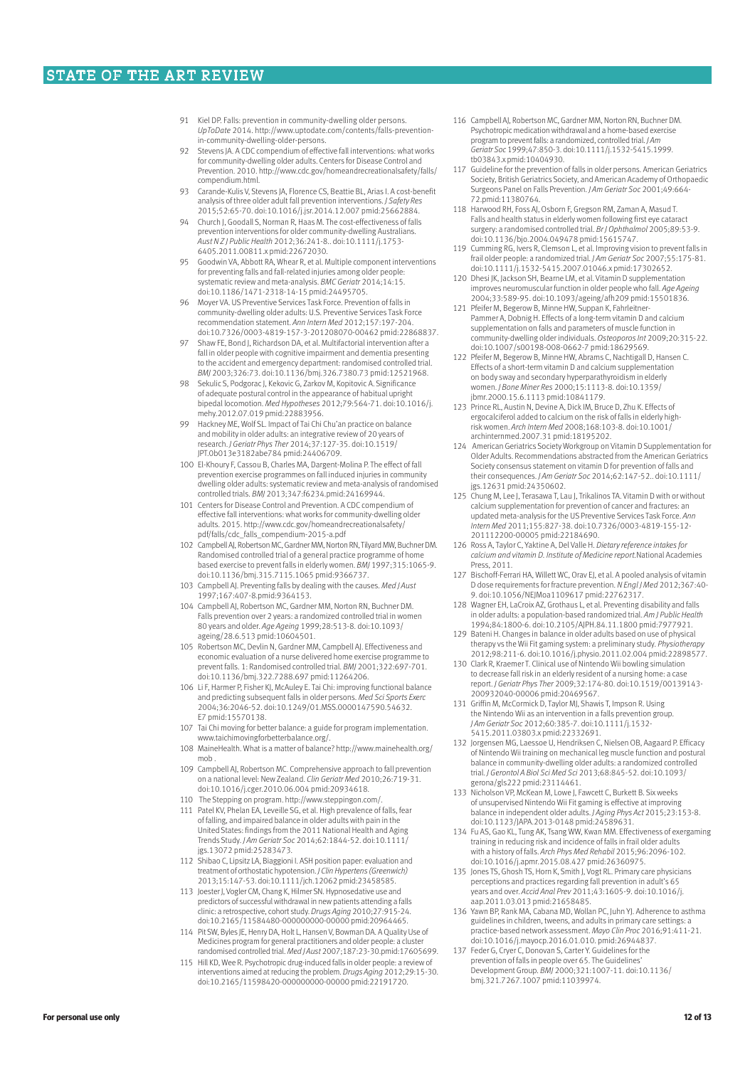- Kiel DP. Falls: prevention in community-dwelling older persons. *UpToDate* 2014. http://www.uptodate.com/contents/falls-preventionin-community-dwelling-older-persons.
- 92 Stevens JA. A CDC compendium of effective fall interventions: what works for community-dwelling older adults. Centers for Disease Control and Prevention. 2010. http://www.cdc.gov/homeandrecreationalsafety/falls/ compendium.html.
- 93 Carande-Kulis V, Stevens JA, Florence CS, Beattie BL, Arias I. A cost-benefit analysis of three older adult fall prevention interventions. *J Safety Res* 2015;52:65-70. doi:10.1016/j.jsr.2014.12.007 pmid:25662884.
- 94 Church J, Goodall S, Norman R, Haas M, The cost-effectiveness of falls prevention interventions for older community-dwelling Australians. *Aust N Z J Public Health* 2012;36:241-8.. doi:10.1111/j.1753- 6405.2011.00811.x pmid:22672030.
- Goodwin VA, Abbott RA, Whear R, et al. Multiple component interventions for preventing falls and fall-related injuries among older people: systematic review and meta-analysis. *BMC Geriatr* 2014;14:15. doi:10.1186/1471-2318-14-15 pmid:24495705.
- 96 Moyer VA. US Preventive Services Task Force. Prevention of falls in community-dwelling older adults: U.S. Preventive Services Task Force recommendation statement. *Ann Intern Med* 2012;157:197-204. doi:10.7326/0003-4819-157-3-201208070-00462 pmid:22868837.
- 97 Shaw FE, Bond J, Richardson DA, et al. Multifactorial intervention after a fall in older people with cognitive impairment and dementia presenting to the accident and emergency department: randomised controlled trial. *BMJ* 2003;326:73. doi:10.1136/bmj.326.7380.73 pmid:12521968.
- Sekulic S, Podgorac J, Kekovic G, Zarkov M, Kopitovic A. Significance of adequate postural control in the appearance of habitual upright bipedal locomotion. *Med Hypotheses* 2012;79:564-71. doi:10.1016/j. mehy.2012.07.019 pmid:22883956.
- Hackney ME, Wolf SL. Impact of Tai Chi Chu'an practice on balance and mobility in older adults: an integrative review of 20 years of research. *J Geriatr Phys Ther* 2014;37:127-35. doi:10.1519/ JPT.0b013e3182abe784 pmid:24406709.
- 100 El-Khoury F, Cassou B, Charles MA, Dargent-Molina P. The effect of fall prevention exercise programmes on fall induced injuries in community dwelling older adults: systematic review and meta-analysis of randomised controlled trials. *BMJ* 2013;347:f6234.pmid:24169944.
- 101 Centers for Disease Control and Prevention. A CDC compendium of effective fall interventions: what works for community-dwelling older adults. 2015. http://www.cdc.gov/homeandrecreationalsafety/ pdf/falls/cdc\_falls\_compendium-2015-a.pdf
- 102 Campbell AJ, Robertson MC, Gardner MM, Norton RN, Tilyard MW, Buchner DM. Randomised controlled trial of a general practice programme of home based exercise to prevent falls in elderly women. *BMJ* 1997;315:1065-9. doi:10.1136/bmj.315.7115.1065 pmid:9366737.
- 103 Campbell AJ. Preventing falls by dealing with the causes. *Med J Aust* 1997;167:407-8.pmid:9364153.
- 104 Campbell AJ, Robertson MC, Gardner MM, Norton RN, Buchner DM. Falls prevention over 2 years: a randomized controlled trial in women 80 years and older. *Age Ageing* 1999;28:513-8. doi:10.1093/ ageing/28.6.513 pmid:10604501.
- 105 Robertson MC, Devlin N, Gardner MM, Campbell AJ. Effectiveness and economic evaluation of a nurse delivered home exercise programme to prevent falls. 1: Randomised controlled trial. *BMJ* 2001;322:697-701. doi:10.1136/bmj.322.7288.697 pmid:11264206.
- 106 Li F, Harmer P, Fisher KJ, McAuley E. Tai Chi: improving functional balance and predicting subsequent falls in older persons. *Med Sci Sports Exerc* 2004;36:2046-52. doi:10.1249/01.MSS.0000147590.54632. E7 pmid:15570138.
- 107 Tai Chi moving for better balance: a guide for program implementation. www.taichimovingforbetterbalance.org/.
- 108 MaineHealth. What is a matter of balance? http://www.mainehealth.org/ mob .
- 109 Campbell AJ, Robertson MC. Comprehensive approach to fall prevention on a national level: New Zealand. *Clin Geriatr Med* 2010;26:719-31. doi:10.1016/j.cger.2010.06.004 pmid:20934618.
- 110 The Stepping on program. http://www.steppingon.com/.
- 111 Patel KV, Phelan EA, Leveille SG, et al. High prevalence of falls, fear of falling, and impaired balance in older adults with pain in the United States: findings from the 2011 National Health and Aging Trends Study. *J Am Geriatr Soc* 2014;62:1844-52. doi:10.1111/ jgs.13072 pmid:25283473.
- 112 Shibao C, Lipsitz LA, Biaggioni I. ASH position paper: evaluation and treatment of orthostatic hypotension. *J Clin Hypertens (Greenwich)* 2013;15:147-53. doi:10.1111/jch.12062 pmid:23458585.
- 113 Joester J, Vogler CM, Chang K, Hilmer SN. Hypnosedative use and predictors of successful withdrawal in new patients attending a falls clinic: a retrospective, cohort study. *Drugs Aging* 2010;27:915-24. doi:10.2165/11584480-000000000-00000 pmid:20964465.
- 114 Pit SW, Byles JE, Henry DA, Holt L, Hansen V, Bowman DA. A Quality Use of Medicines program for general practitioners and older people: a cluster randomised controlled trial. *Med J Aust* 2007;187:23-30.pmid:17605699.
- 115 Hill KD, Wee R. Psychotropic drug-induced falls in older people: a review of interventions aimed at reducing the problem. *Drugs Aging* 2012;29:15-30. doi:10.2165/11598420-000000000-00000 pmid:22191720.
- 116 Campbell AJ, Robertson MC, Gardner MM, Norton RN, Buchner DM. Psychotropic medication withdrawal and a home-based exercise program to prevent falls: a randomized, controlled trial. *J Am Geriatr Soc* 1999;47:850-3. doi:10.1111/j.1532-5415.1999. tb03843.x pmid:10404930.
- 117 Guideline for the prevention of falls in older persons. American Geriatrics Society, British Geriatrics Society, and American Academy of Orthopaedic Surgeons Panel on Falls Prevention. *J Am Geriatr Soc* 2001;49:664- 72.pmid:11380764.
- 118 Harwood RH, Foss AJ, Osborn F, Gregson RM, Zaman A, Masud T. Falls and health status in elderly women following first eye cataract surgery: a randomised controlled trial. *Br J Ophthalmol* 2005;89:53-9. doi:10.1136/bjo.2004.049478 pmid:15615747.
- 119 Cumming RG, Ivers R, Clemson L, et al. Improving vision to prevent falls in frail older people: a randomized trial. *J Am Geriatr Soc* 2007;55:175-81. doi:10.1111/j.1532-5415.2007.01046.x pmid:17302652.
- 120 Dhesi JK, Jackson SH, Bearne LM, et al. Vitamin D supplementation improves neuromuscular function in older people who fall. *Age Ageing* 2004;33:589-95. doi:10.1093/ageing/afh209 pmid:15501836.
- 121 Pfeifer M, Begerow B, Minne HW, Suppan K, Fahrleitner-Pammer A, Dobnig H. Effects of a long-term vitamin D and calcium supplementation on falls and parameters of muscle function in community-dwelling older individuals. *Osteoporos Int* 2009;20:315-22.
- doi:10.1007/s00198-008-0662-7 pmid:18629569. 122 Pfeifer M, Begerow B, Minne HW, Abrams C, Nachtigall D, Hansen C. Effects of a short-term vitamin D and calcium supplementation on body sway and secondary hyperparathyroidism in elderly women. *J Bone Miner Res* 2000;15:1113-8. doi:10.1359/ jbmr.2000.15.6.1113 pmid:10841179.
- 123 Prince RL, Austin N, Devine A, Dick IM, Bruce D, Zhu K. Effects of ergocalciferol added to calcium on the risk of falls in elderly highrisk women. *Arch Intern Med* 2008;168:103-8. doi:10.1001/ archinternmed.2007.31 pmid:18195202.
- 124 American Geriatrics Society Workgroup on Vitamin D Supplementation for Older Adults. Recommendations abstracted from the American Geriatrics Society consensus statement on vitamin D for prevention of falls and their consequences. *J Am Geriatr Soc* 2014;62:147-52.. doi:10.1111/ jgs.12631 pmid:24350602.
- 125 Chung M, Lee J, Terasawa T, Lau J, Trikalinos TA. Vitamin D with or without calcium supplementation for prevention of cancer and fractures: an updated meta-analysis for the US Preventive Services Task Force. *Ann Intern Med* 2011;155:827-38. doi:10.7326/0003-4819-155-12- 201112200-00005 pmid:22184690.
- 126 Ross A, Taylor C, Yaktine A, Del Valle H. *Dietary reference intakes for calcium and vitamin D. Institute of Medicine report.*National Academies Press, 2011.
- 127 Bischoff-Ferrari HA, Willett WC, Orav EJ, et al. A pooled analysis of vitamin D dose requirements for fracture prevention. *N Engl J Med* 2012;367:40- 9. doi:10.1056/NEJMoa1109617 pmid:22762317.
- 128 Wagner EH, LaCroix AZ, Grothaus L, et al. Preventing disability and falls in older adults: a population-based randomized trial. *Am J Public Health* 1994;84:1800-6. doi:10.2105/AJPH.84.11.1800 pmid:7977921.
- 129 Bateni H. Changes in balance in older adults based on use of physical therapy vs the Wii Fit gaming system: a preliminary study. *Physiotherapy* 2012;98:211-6. doi:10.1016/j.physio.2011.02.004 pmid:22898577.
- 130 Clark R, Kraemer T. Clinical use of Nintendo Wii bowling simulation to decrease fall risk in an elderly resident of a nursing home: a case report. *J Geriatr Phys Ther* 2009;32:174-80. doi:10.1519/00139143- 200932040-00006 pmid:20469567.
- 131 Griffin M, McCormick D, Taylor MJ, Shawis T, Impson R. Using the Nintendo Wii as an intervention in a falls prevention group. *J Am Geriatr Soc* 2012;60:385-7. doi:10.1111/j.1532- 5415.2011.03803.x pmid:22332691.
- 132 Jorgensen MG, Laessoe U, Hendriksen C, Nielsen OB, Aagaard P. Efficacy of Nintendo Wii training on mechanical leg muscle function and postural balance in community-dwelling older adults: a randomized controlled trial. *J Gerontol A Biol Sci Med Sci* 2013;68:845-52. doi:10.1093/ gerona/gls222 pmid:23114461.
- 133 Nicholson VP, McKean M, Lowe J, Fawcett C, Burkett B. Six weeks of unsupervised Nintendo Wii Fit gaming is effective at improving balance in independent older adults. *J Aging Phys Act* 2015;23:153-8. doi:10.1123/JAPA.2013-0148 pmid:24589631.
- 134 Fu AS, Gao KL, Tung AK, Tsang WW, Kwan MM. Effectiveness of exergaming training in reducing risk and incidence of falls in frail older adults with a history of falls. *Arch Phys Med Rehabil* 2015;96:2096-102. doi:10.1016/j.apmr.2015.08.427 pmid:26360975.
- 135 Jones TS, Ghosh TS, Horn K, Smith J, Vogt RL. Primary care physicians perceptions and practices regarding fall prevention in adult's 65 years and over. *Accid Anal Prev* 2011;43:1605-9. doi:10.1016/j. aap.2011.03.013 pmid:21658485.
- 136 Yawn BP, Rank MA, Cabana MD, Wollan PC, Juhn YJ. Adherence to asthma guidelines in children, tweens, and adults in primary care settings: a practice-based network assessment. *Mayo Clin Proc* 2016;91:411-21. doi:10.1016/j.mayocp.2016.01.010. pmid:26944837.
- 137 Feder G, Cryer C, Donovan S, Carter Y. Guidelines for the prevention of falls in people over 65. The Guidelines' Development Group. *BMJ* 2000;321:1007-11. doi:10.1136/ bmj.321.7267.1007 pmid:11039974.